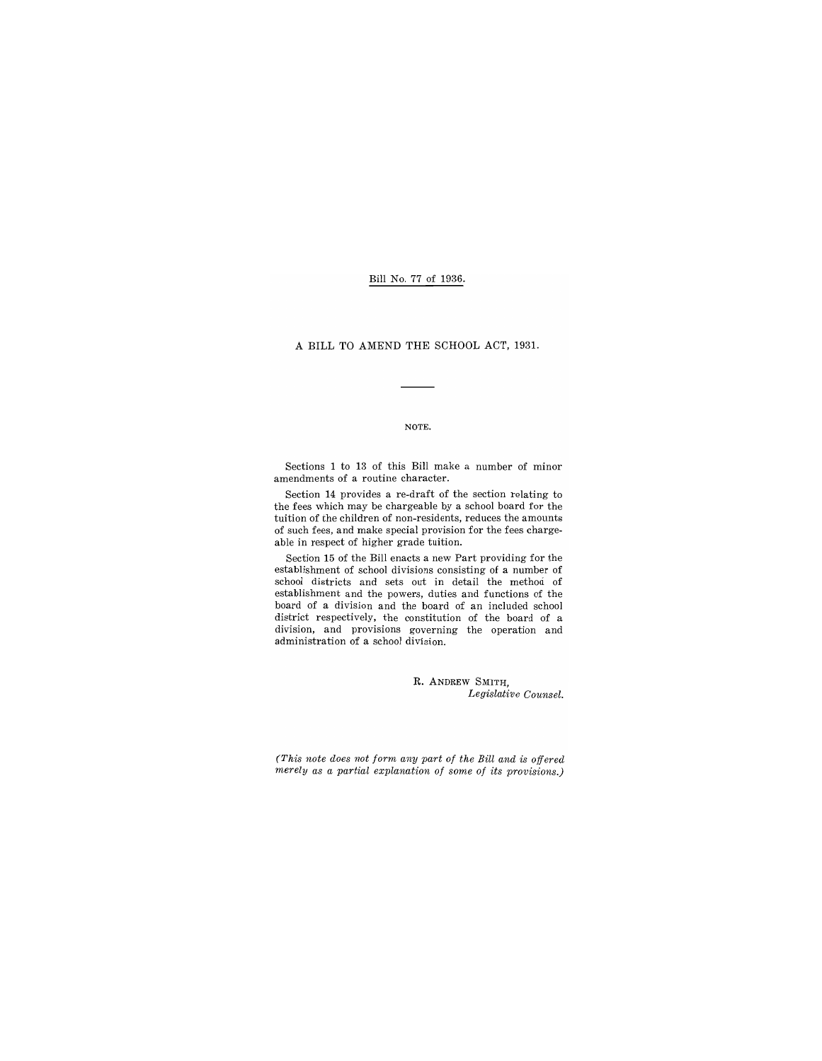#### Bill No. 77 of 1936.

A BILL TO AMEND THE SCHOOL ACT, 1931.

#### NOTE.

Sections 1 to 13 of this Bill make a number of minor amendments of a routine character.

Section 14 provides a re-draft of the section relating to the fees which may be chargeable by a school board for the tuition of the children of non-residents, reduces the amounts of such fees, and make special provision for the fees chargeable in respect of higher grade tuition.

Section 15 of the Bill enacts a new Part providing for the establishment of school divisions consisting of a number of school districts and sets out in detail the method of establishment and the powers, duties and functions of the board of a division and the board of an included school district respectively, the constitution of the board of a division, and provisions governing the operation and administration of a school division.

> R. ANDREW SMITH, *Legislative Counsel.*

*(This note does not form any part of the Bill and is offered merely as a partial explanation of some of its provisions.)*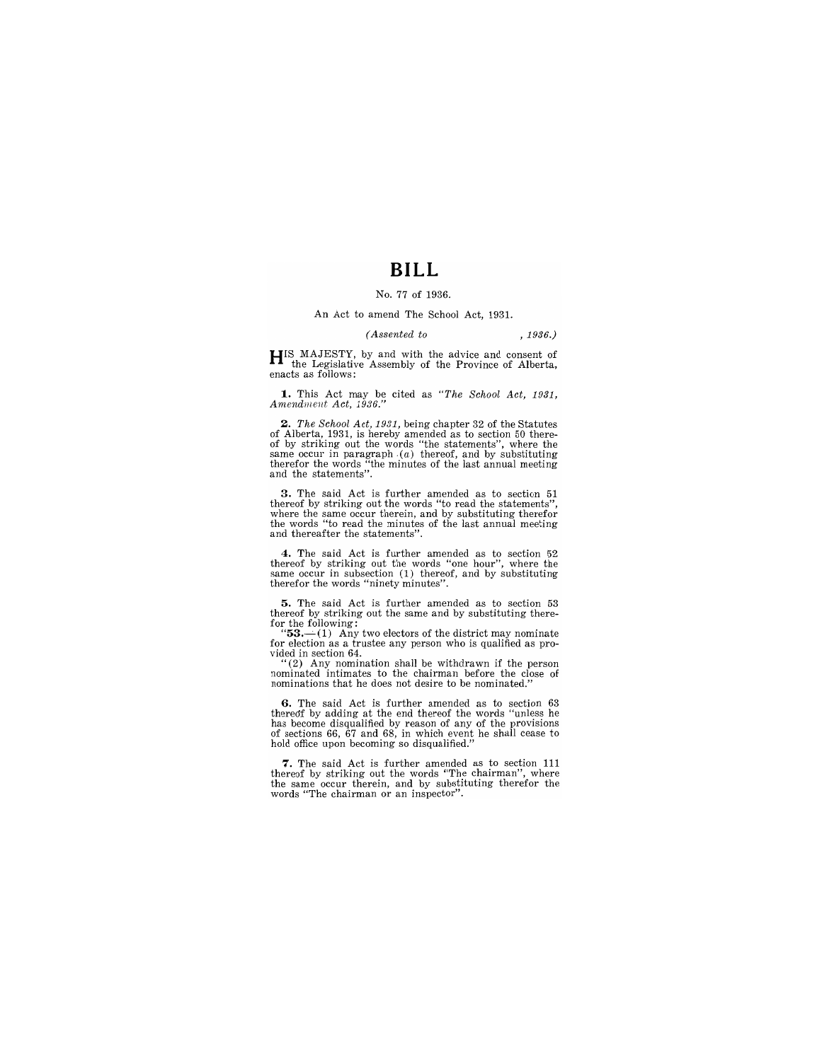# **BILL**

#### No. 77 of 1936.

#### An Act to amend The School Act, 1931.

#### *(Assented to* , 1936.)

**HIS MAJESTY,** by and with the advice and consent of the Legislative Assembly of the Province of Alberta, enacts as follows:

**1.** This Act may be cited as "The School Act, 1931, Amendment Act, 1936."

*2. The School Act,* 1931, being chapter 32 of the Statutes of Alberta, 1931, is hereby amended as to section 50 there-<br>of by striking out the words "the statements", where the<br>same occur in paragraph  $(a)$  thereof, and by substituting<br>therefor the words "the minutes of the last an

3. The said Act is further amended as to section 51 thereof by striking out the words "to read the statements", where the same occur therein, and by substituting therefor the words "the words" the words "the words" of the and thereafter the statements".

**4.** The said Act is further amended as to section 52 thereof by striking out the words "one hour", where the same occur in subsection (1) thereof, and by substituting therefor the words "ninety minutes".

**5.** The said Act is further amended as to section 53 thereof by striking out the same and by substituting therefor the following:<br>
"53.—(1) Any two electors of the district may nominate

for election as a trustee any person who is qualified as provided in section as a trustee any person who is qualified as provided in section 64.<br>"(2) Any nomination shall be withdrawn if the person mominated intimates to

**6.** The said Act is further amended as to section 63 thereof by adding at the end thereof the words "unless he has become disqualified by reason of any of the provisions of sections 66, 67 and 68, in which event he shall hold office upon becoming so disqualified."

**7.** The said Act is further amended as to section 111 thereof by striking out the words "The chairman", where the same occur therein, and by substituting therefor the words "The chairman or an inspector".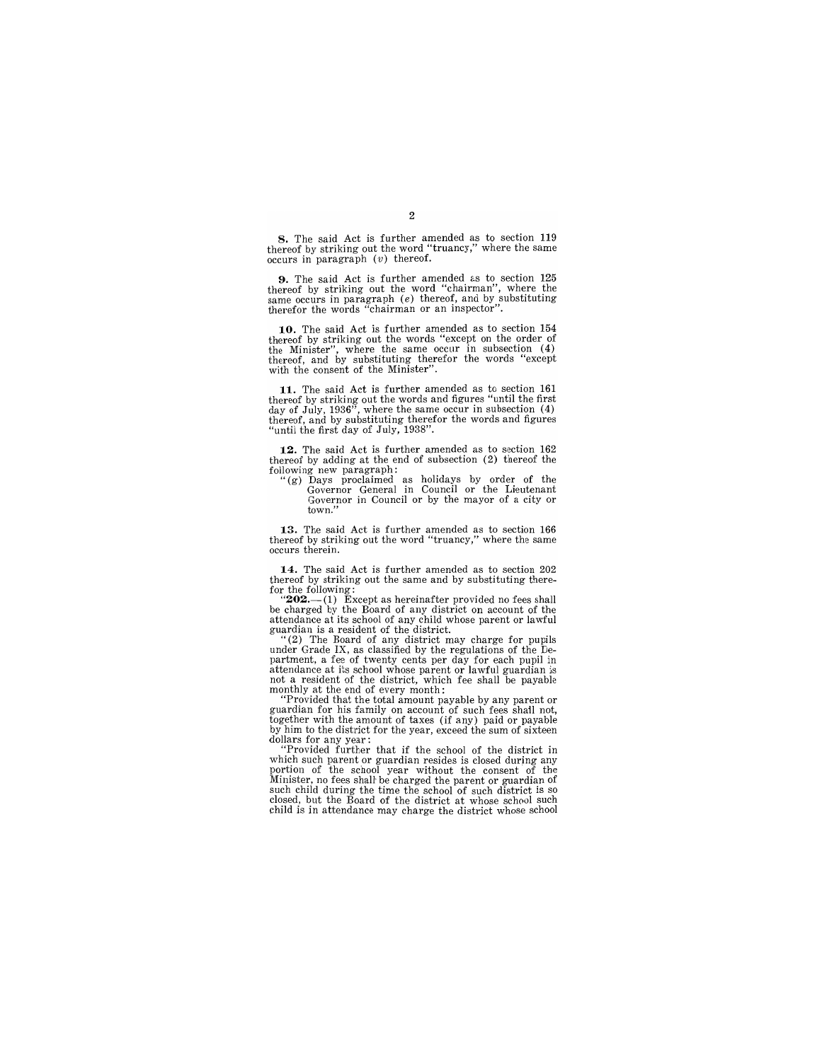**S.** The said Act is further amended as to section 119 thereof by striking out the word "truancy," where the same occurs in paragraph (v) thereof.

9. The said Act is further amended as to section 125 thereof by striking out the word "chairman", where the same occurs in paragraph (e) thereof, and by substituting therefor the words "chairman or an inspector".

**10.** The said Act is further amended as to section 154 thereof by striking out the words "except on the order of the Minister", where the same occur in subsection  $(4)$  thereof, and by substituting therefor the words "ex

11. The said Act is further amended as to section 161 thereof by striking out the words and figures "until the first day of July, 1936", where the same occur in subsection (4) thereof, and by substituting therefor the words and figures "until the first day of July, 1938".

**12.** The said Act is further amended as to section 162 thereof by adding at the end of subsection (2) thereof the following new paragraph:

"(g) Days proclaimed as holidays by order of the Governor General in Councilor the Lieutenant Governor in Councilor by the mayor of a city or town."

13. The said Act is further amended as to section 166 **thereof** by striking out the word "truancy," where the same occurs therein.

14. The said Act is further amended as to section 202 thereof by striking out the same and by substituting there-

for the following:  $\alpha$  at the same and  $\alpha$  *y* substituting ancre-<br>
"202.--(1) Except as hereinafter provided no fees shall<br>
be charged by the Board of any district on account of the<br>
intendance at its school of any chi guardian is a resident of the district.

"(2) The Board of any district may charge for pupils under Grade IX, as classified by the regulations of the Department, a fee of twenty cents per day for each pupil in attendance at its school whose parent or lawful guardian is not a resident of the district, which fee shall be payable monthly at the end of every month:

"Provided that the total amount payable by any parent or guardian for his family on account of such fees shaH not, together with the amount of taxes (if any) paid or payable by him to the district for the year, exceed the sum of sixteen dollars for any year:

"Provided further that if the school of the district in which such parent or guardian resides is closed during any portion of the school year without the consent of the Minister, no fees shall be charged the parent or guardian of<br>such child during the time the school of such district is so<br>closed, but the Board of the district at whose school such child is in attendance may charge the district whose school

2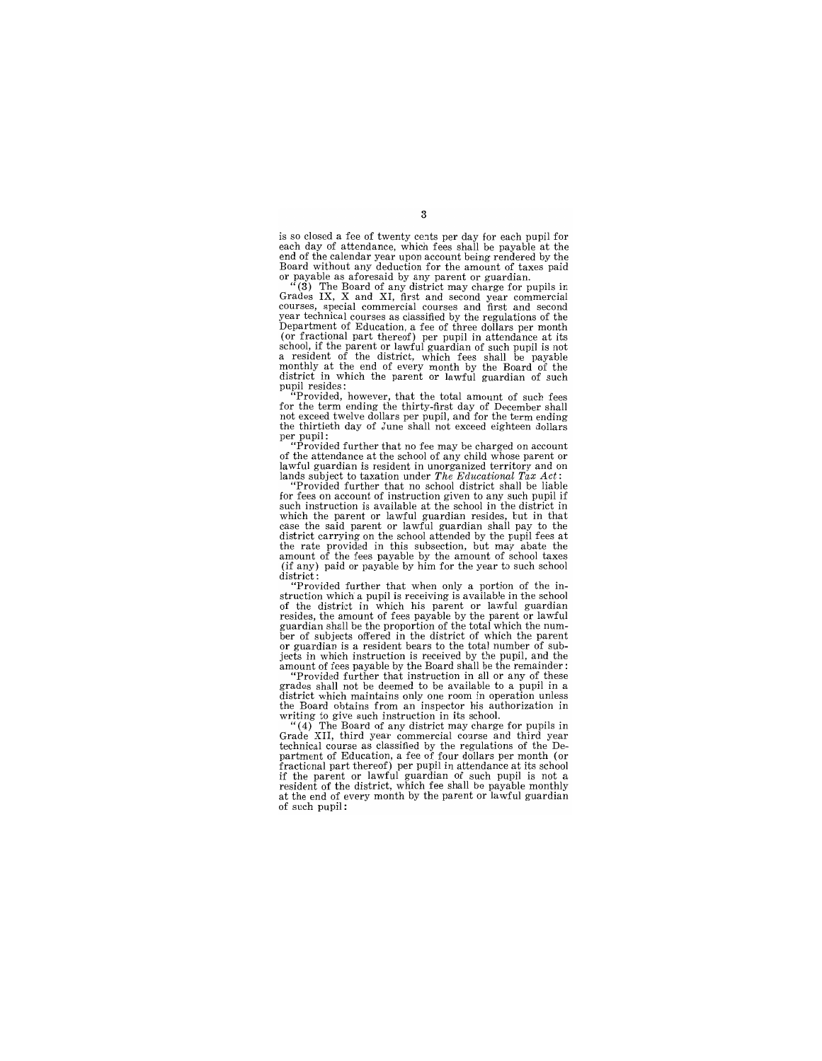is so closed a fee of twenty cents per day for each pupil for each day of attendance, which fees shall be payable at the end of the calendar year upon account being rendered by the Board without any deduction for the amount of taxes paid by any parent or guardian.

or payable as aforesaid by any parent or guardian.<br>
"(3) The Board of any district may charge for pupils in Grades IX, X and XI, first and second year commercial<br>courses, special commercial courses and first and second<br>year technical courses as classified by the regulations of the Department of Education, a fee of three dollars per month (or fractional part thereof) per pupil in attendance at its school, if the parent or lawful guardian of such pupil is not  $\alpha$  is the end of every month by the Board of the nonthly at the end of every month by the Board of the listrict in which the parent or lawful guardian of such pupil resides:

Provided, however, that the total amount of such fees for the term ending the thirty-first day of December shall of exceed twelve dollars per pupil, and for the term ending<br>the thirtieth day of June shall not exceed eighteen dollars per pupil:

"Provided further that no fee may be charged on account of the attendance at the school of any child whose parent or lawful guardian is resident in unorganized territory and on lands subject to taxation under *The Educational Tax Act:*  lands subject to taxation under The Educational Tax Act:<br>"Provided further that no school district shall be liable

for fees on account of instruction given to any such pupil if such instruction is available at the school in the district in which the parent or lawful guardian resides, but in that case the said parent or lawful guardian shall pay to the district carrying on the school attended by the pupil fees at the rate provided in this subsection, but may abate the amount of the fees payable by the amount of school taxes (if any) paid or payable by him for the year to such school

district:<br>  $\alpha$  in the struction which a pupil is receiving is available in the school<br>
istruction which a pupil is receiving is available in the school<br>
of the district in which his parent or lawful guardian resides, the amount of fees payable by the parent or lawful guardian shall be the proportion of the total which the number of subjects offered in the district of which the parent or guardian is a resident bears to the total number of subjects in which instruction is received by the pupil, and the amount of fees payable by the Board shall be the remainder:

Provided further that instruction in all or any of these grades shall not be deemed to be available to a pupil in a district which maintains only one room in operation unless the Board obtains from an inspector his authorization in me Board obtains from an inspector instance in the school.<br>
"(4) The Board of any district may charge for pupils in

Grade XII, third year commercial course and third year technical course as classified by the regulations of the De-partment of Education, a fee of four dollars per month (or partitional part thereof), a ree of four woman specificational part thereof) per pupil in attendance at its school<br>of the parent or lawful guardian of such pupil is not a<br>resident of the district, which fee shall be payabl of such pupil: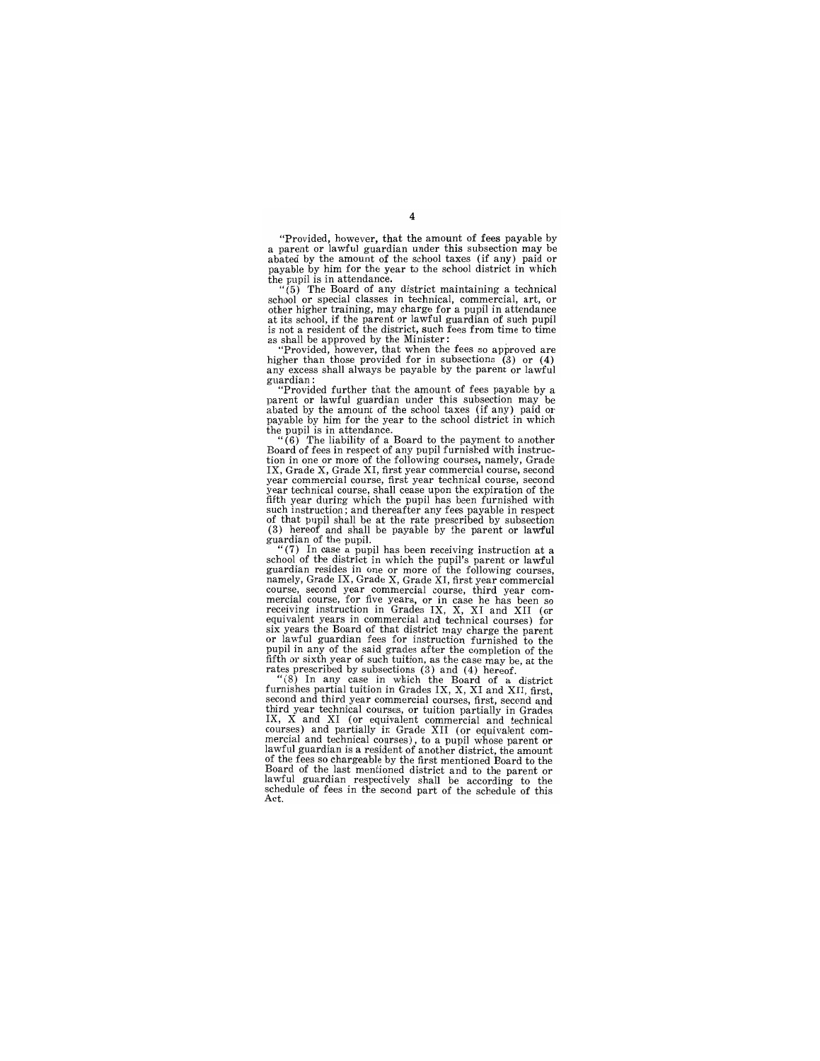"Provided, however, that the amount of fees payable by a parent or lawful guardian under this subsection may be payable by him for the year to the school district in which the pupil is in attendance.

 $(5)$  The Board of any district maintaining a technical school or special classes in technical, commercial, art, or other higher training, may charge for a pupil in attendance at its school, if the parent or lawful guardi

is not a resident of the district, such fees from time to time<br>as shall be approved by the Minister:<br>"Provided, however, that when the fees so approved are<br>higher than those provided for in subsections (3) or (4)<br>any exce guardian:

"Provided further that the amount of fees payable by a parent or lawful guardian under this subsection may be

abated by the amount of the school taxes (if any) paid or<br>payable by him for the year to the school district in which<br>the pupil is in attendance.<br>"(6) The liability of a Board to the payment to another<br>"(6) The liability o such instruction; and thereafter any fees payable in respect of that pupil shall be at the rate prescribed by subsection (3) hereof and shall be payable by the parent or lawful guardian of the pupil.

 $(7)$  In case a pupil has been receiving instruction at a school of the district in which the pupil's parent or lawful guardian resides in one or more of the following courses, neamely, Grade IX, Grade X, Grade XI, first six years the Board of that district may charge the parent or lawful guardian fees for instruction furnished to the pupil in any of the said grades after the completion of the<br>fifth or sixth year of such tuition, as the case may be, at the<br>rates prescribed by subsections (3) and (4) hereof.<br>"(8) In any case in which the Board of a distr

third year technical courses, or tuition partially in Grades IX, X and XI (or equivalent commercial and technical courses) and partially in Grade XII (or equivalent commercial and technical courses), to a pupil whose paren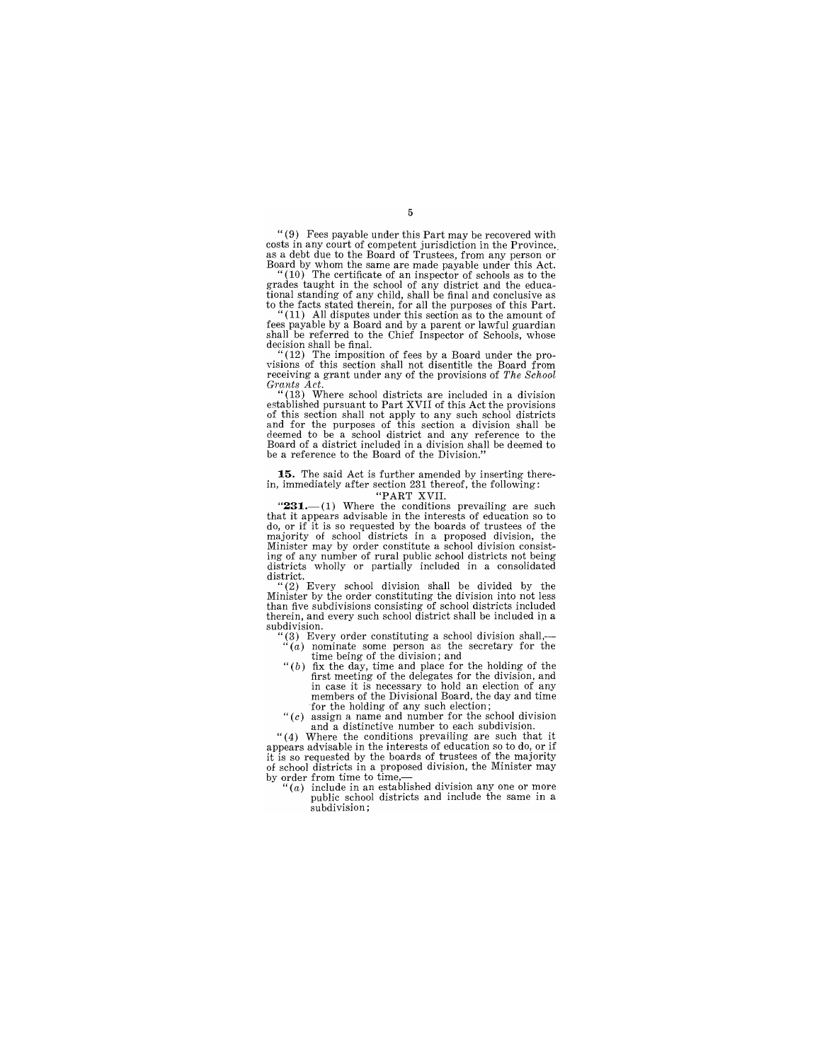"(9) Fees payable under this Part may be recovered with costs in any court of competent jurisdiction in the Province, as a debt due to the Board of Trustees, from any person or

Board by whom the same are made payable under this Act.<br>"(10) The certificate of an inspector of schools as to the Trades taught in the school of any district and the educa-<br>tional standing of any child, shall be final and conclusive as<br>to the facts stated therein, for all the purposes of this Part.

to the facts stated therein, for all the purposes of this Part.<br>"(11) All disputes under this section as to the amount of fees payable by a Board and by a parent or lawful guardian shall be referred to the Chief Inspector of Schools, whose decision shall be final.

 $(12)$  The imposition of fees by a Board under the provisions of this section shall not disentitle the Board from receiving a grant under any of the provisions of *The School* 

Example a grain under any of the provisions of the school<br>Frants Act.<br>"(13) Where school districts are included in a division<br>stablished pursuant to Part XVII of this Act the provisions<br>f this section shall not apply to a Board of a district included in a division shall be deemed to<br>be a reference to the Board of the Division."

#### **15.** The said Act is further amended by inserting therein, immediately after section 231 thereof, the following:

#### "PART XVII.

**"231.**—(1) Where the conditions prevailing are such that it appears advisable in the interests of education so to may it appears anywhere in the interests of cutation so to on it it is so requested by the boards of trustees of the majority of school districts in a proposed division, the dimister may by order constitute a school divis districts wholly or partially included in a consolidated district.

"(2) Every school division shall be divided by the Using the order constituting the division into not less<br>han five subdivisions consisting of school districts included<br>herein, and every such school district shall be included in a<br>ubdivision.

- "(3) Every order constituting a school division shall,- "(a) nominate some person as the secretary for the time being of the division; and
- (*b*) fix the day, time and place for the holding of the  $f(t)$  fix the day, time and place for the division, and in case it is necessary to hold an election of any members of the Divisional Board, the day and time
- for the holding of any such election; " $(c)$  assign a name and number for the school division and a distinctive number to each subdivision.

" (4) Where the conditions prevailing are such that it appears advisable in the interests of education so to do, or if it is so requested by the boards of trustees of the majority of school districts in a proposed division, the Minister may by order from time to time,

 $(a)$  include in an established division any one or more public school districts and include the same in a subdivision;

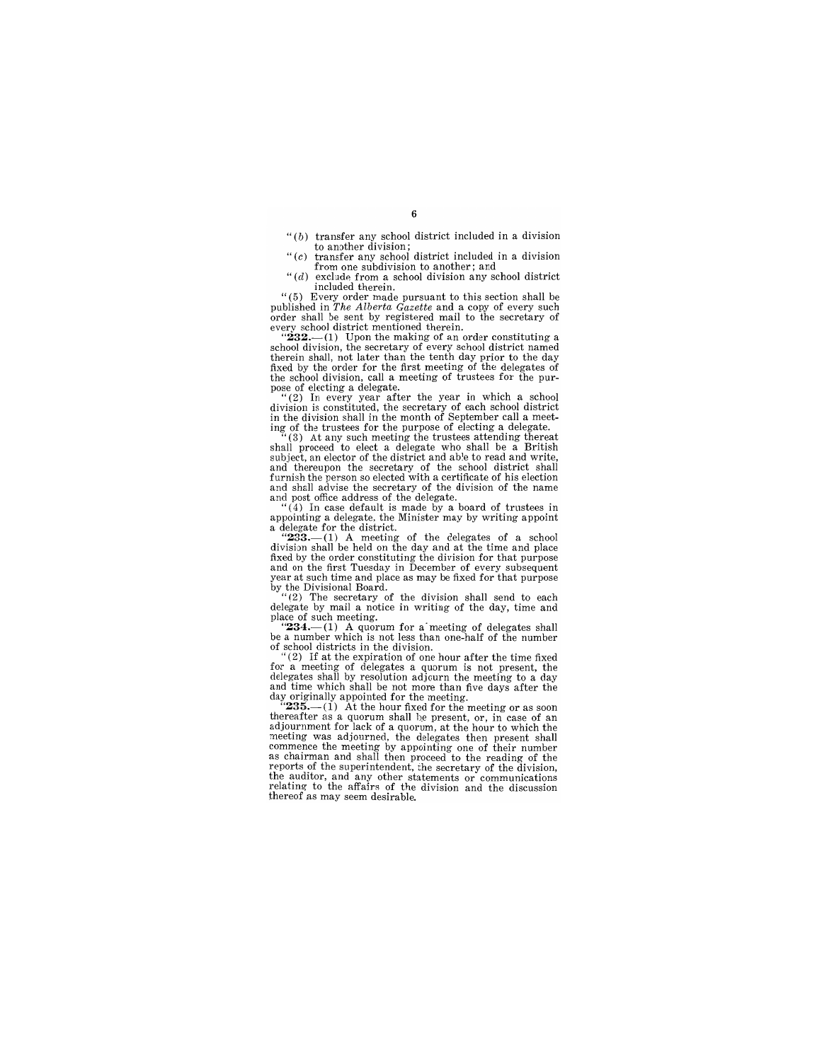" $(b)$  transfer any school district included in a division to another division;

" $(c)$  transfer any school district included in a division from one subdivision to another; and

" $(d)$  exclude from a school division any school district included therein.

" (5) Every order made pursuant to this section shall be published in *The Alberta Gazette* and a copy of every such order shall be sent by registered mail to the secretary of

every school district mentioned therein.<br>"232.—(1) Upon the making of an order constituting a school division, the secretary of every school district named therein shall, not later than the tenth day prior to the day fixed by the order for the first meeting of the delegates of the school division, call a meeting of trustees for the purpose of electing a delegate.

 $(2)$  In every year after the year in which a school division is constituted, the secretary of each school district in the division shall in the month of September call a meet- ing of the trustees for the purpose of electing a delegate.

(3) At any such meeting the trustees attending thereat shall proceed to elect a delegate who shall be a British subject, an elector of the district and able to read and write, and thereupon the secretary of the school district shall furnish the person so elected with a certificate of his election and shall advise the secretary of the division of the name<br>and post office address of the delegate.<br> $\frac{u}{d\lambda}$  on an definition and leader

"( 4) In case default is made by a board of trustees in appointing a delegate, the Minister may by writing appoint a delegate for the district.

"233.-(1) A meeting of the delegates of a school division shall be held on the day and at the time and place fixed by the order constituting the division for that purpose and on the first Tuesday in December of every subsequent year at such time and place as may be fixed for that purpose by the Divisional Board. "(2) The secretary of the division shall send to each

delegate by mail a notice in writing of the day, time and

place of such meeting.<br>
"234.—(1) A quorum for a meeting of delegates shall<br>be a number which is not less than one-half of the number of school districts in the division. "(2) If at the expiration of one hour after the time fixed

for a meeting of delegates a quorum is not present, the delegates shall by resolution adjourn the meeting to a day and time which shall be not more than five days after the day originally appointed for the meeting.<br> $235 - ($ 

meeting was adjourned, the delegates then present shall<br>commence the meeting by appointing one of their number<br>as chairman and shall then proceed to the reading of the<br>reports of the superintendent, the secretary of the di the auditor, and any other statements or communications relating to the affairs of the division and the discussion thereof as may seem desirable.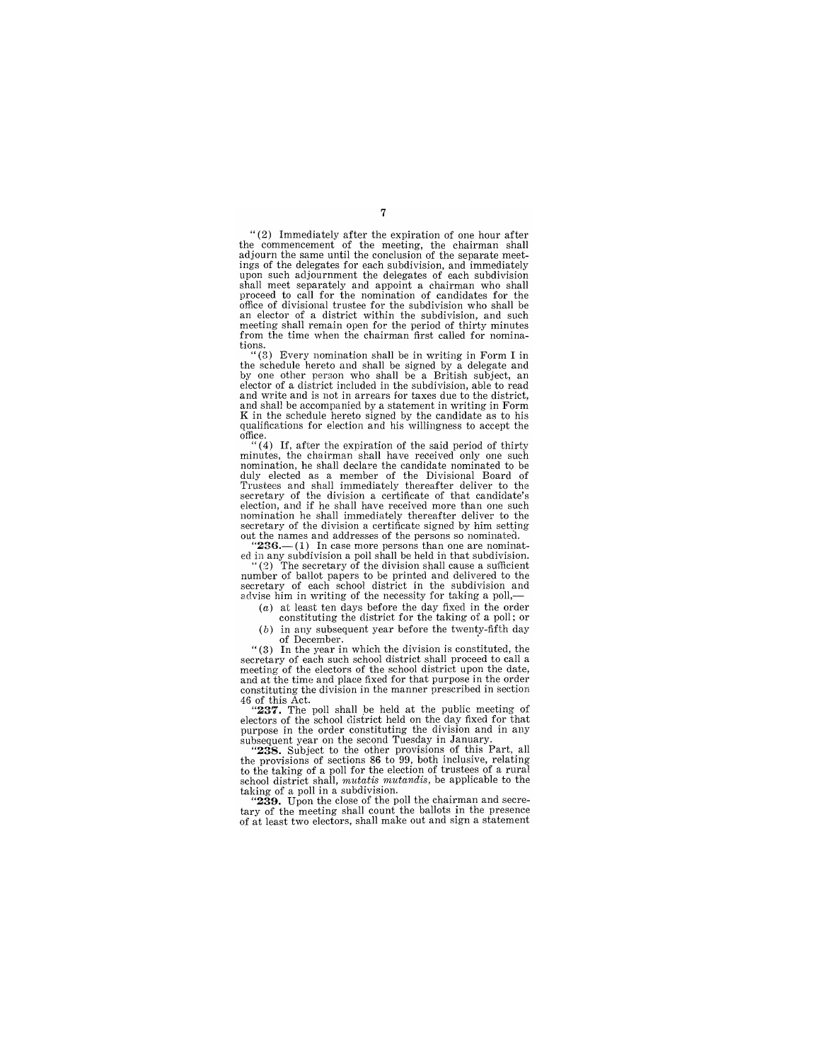"(2) Immediately after the expiration of one hour after the commencement of the meeting, the chairman shall adjourn the same until the conclusion of the separate meetings of the delegates for each subdivision, and immediately upon such adjournment the delegates of each subdivision shall meet separately and appoint a chairman who shall proceed to call for the nomination of candidates for the an elector of a district within the subdivision, and such meeting shall remain open for the period of thirty minutes from the time when the chairman first called for nominations.

 $\tilde{C}(3)$  Every nomination shall be in writing in Form I in the schedule hereto and shall be signed by a delegate and by one other person who shall be a British subject, an elector of a district included in the subdivision, able to read elector of a district included in the subdivision, able to read and write and is not in arrears for taxes due to the district, and shall be accompanied by a statement in writing in Form K in the schedule hereto signed by the candidate as to his qualifications for election and his willingness to accept the office.

 $(4)$  If, after the expiration of the said period of thirty minutes, the chairman shall have received only one such nomination, he shall declare the candidate nominated to be duly elected as a member of the Divisional Board of Trustees and shall immediately thereafter deliver to the secretary of the division a certificate of that candidate's election, and if he shall have received more than one such nomination he shall immediately thereafter deliver to the secretary of the division a certificate signed by him setting out the names and addresses of the persons so nominated.

ou the names and adduces or the persons of ounder than one are nominated.<br>
ed in any subdivision a poll shall be held in that subdivision.  $(2)$  The secretary of the division shall cause a sufficient

number of ballot papers to be printed and delivered to the secretary of each school district in the subdivision and advise him in writing of the necessity for taking a poll,—

(a) at least ten days before the day fixed in the order constituting the district for the taking of a poll; or

(b) in any subsequent year before the twenty-fifth day of December.

" (3) In the year in which the division is constituted, the secretary of each such school district shall proceed to call a meeting of the electors of the school district upon the date, and at the time and place fixed for that purpose in the order constituting the division in the manner prescribed in section

46 of this Act.<br>"237. The poll shall be held at the public meeting of electors of the school district held on the day fixed for that purpose in the order constituting the division and in any subsequent year on the second Tuesday in January.

**"238.** Subject to the other provisions of this Part, all the provisions of sections 86 to 99, both inclusive, relating to the taking of a poll for the election of trustees of a rural school district shall, *mutatis mutandis,* be applicable to the taking of a poll in a subdivision.

**"239.** Upon the close of the poll the chairman and secre-<br>"239. Upon the close of the poll the chairman and secre-<br>tary of the meeting shall count the ballots in the presence of at least two electors, shall make out and sign a statement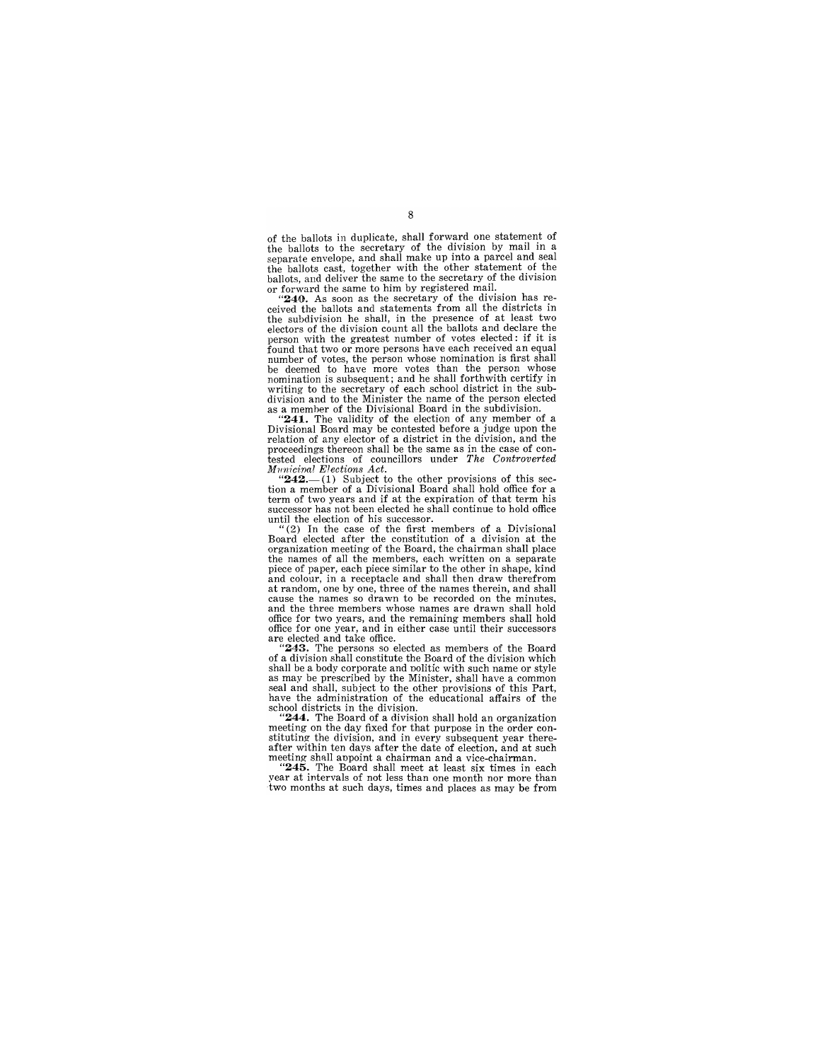of the ballots in duplicate, shall forward one statement of the ballots to the secretary of the division by mail in a separate envelope, and shall make up into a parcel and seal the ballots cast, together with the other statement of the ballots, and deliver the same to the secretary of the division ballots, and deliver the same to the secretary of the division or forward the same to him by registered mail.

"240. As soon as the secretary of the division has re-<br>ceived the ballots and statements from all the districts in the subdivision he shall, in the presence of at least two electors of the division count all the ballots and declare the person with the greatest number of votes elected: if it is found that two or more persons have each received an equal number of votes, the person whose nomination is first shall be deemed to have more votes than the person whose nomination is subsequent; and he shall forthwith certify in writing to the secretary of each school district in the sub-<br>division and to the Minister the name of the person elected division and to the Minister the name of the person elected as a member of the Divisional Board in the subdivision.

"241. The validity of the election of any member of a Divisional Board may be contested before a judge upon the relation of any elector of a district in the division, and the proceedings thereon shall be the same as in the case of conproceedings thereon shall be the same as in the same as in the same of councillors under *The Controverted* 

*Municinal Elections Act.*<br>
" $242$ —(1) Subject to the other provisions of this section a member of a Divisional Board shall hold office for a term of two years and if at the expiration of that term his successor has not b

until the election of his successor. "(2) In the case of the first members of a Divisional Board elected after the constitution of a division at the organization meeting of the Board, the chairman shall place the names of all the members, each written on a separate piece of paper, each piece similar to the other in shape, kind and colour, in a receptacle and shall then draw therefrom at random, one by one, three of the names therein, and shall cause the names so drawn to be recorded on the minutes. and the three members whose names are drawn shall hold office for two years, and the remaining members shall hold office for one year, and in either case until their successors are elected and take office.<br>"243. The persons so elected as members of the Board

of a division shall constitute the Board of the division which as may be prescribed by the Minister, shall have a common seal and shall, subject to the other provisions of this Part, have the administration of the educational affairs of the school districts in the division.

"244. The Board of a division shall hold an organization meeting on the day fixed for that purpose in the order constituting the division, and in every subsequent year thereafter within ten days after the date of election, and at such meeting shall aopoint a chairman and a vice-chairman.

**245.** The Board shall meet at least six times in each year at intervals of not less than one month nor more than two months at such days, times and places as may be from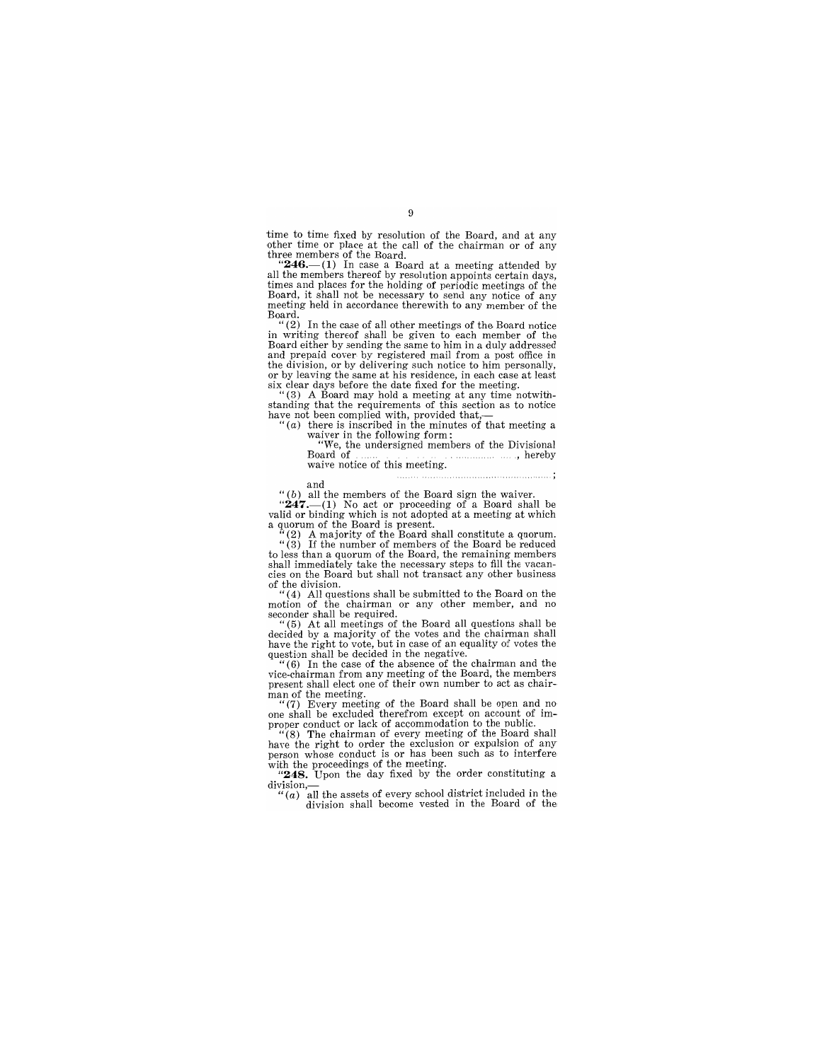time to time fixed by resolution of the Board, and at any other time or place at the call of the chairman or of any three members of the Board.<br>
"246.—(1) In case a Board at a meeting attended by

all the members thereof by resolution appoints certain days, times and places for the holding of periodic meetings of the Board, it shall not be necessary to send any notice of any meeting held in accordance therewith to any member of the Board.<br>Board.<br>"(2) In the case of all other meetings of the Board notice"

n writing thereof shall be given to each member of the<br>Board either by sending the same to him in a duly addressed<br>and prepaid cover by registered mail from a post office in<br>the division, or by delivering such notice to hi

six clear days before the date fixed for the meeting. "(3) A Board may hold a meeting at any time notwith-standing that the requirements of this section as to notice have not been complied with, provided that,-

 $($ a) there is inscribed in the minutes of that meeting a waiver in the following form:

we, the undersigned members of the Divisional<br>Board of , hereby Board of  $\frac{1}{2}$  of  $\frac{1}{2}$  is meeting.

and  $''(b)$  all the members of the Board sign the waiver.

(*b*) all the members of the board sign the waiver.<br>**247.**—(1) No act or proceeding of a Board shall be valid or binding which is not adopted at a meeting at which a quorum of the Board is present.<br>
"(2) A majority of the Board shall constitute a quorum.<br>
"(3) If the number of members of the Board be reduced

to less than a quorum of the Board, the remaining members shall immediately take the necessary steps to fill the vacan- cies on the Board but shall not transact any other business  $\delta$  of the division.<br>
"(4) All questions shall be submitted to the Board on the

motion of the chairman or any other member, and no<br>seconder shall be required.

Comment shall be required.<br>
(5) At all meetings of the Board all questions shall be<br>
lecided by a majority of the votes and the chairman shall<br>
have the right to vote, but in case of an equality of votes the<br>
question shal

ice-chairman from any meeting of the Board, the members  $p$  in the members of the starting of the Board, the members  $p$ 

man of the meeting.<br>
"(7) Every meeting of the Board shall be open and no<br>  $\frac{1}{2}$  "(7) Every meeting of the Board shall be open and no<br>  $\frac{1}{2}$  "herefrom except on account of im-

me shall be excluded to the commodation to the public.<br>
"(8) The chairman of every meeting of the Board shall<br>
nave the right to order the exclusion or expulsion of any<br>
person whose conduct is or has been such as to inte with the proceedings of the meeting.

**"248.** Upon the day fixed by the order constituting a  $\lim_{\epsilon \to 0} \frac{\epsilon}{\epsilon}$  division,-<br> $\lim_{\epsilon \to 0} \frac{\epsilon}{\epsilon}$  all the assets of every school district included in the

division shall become vested in the Board of the

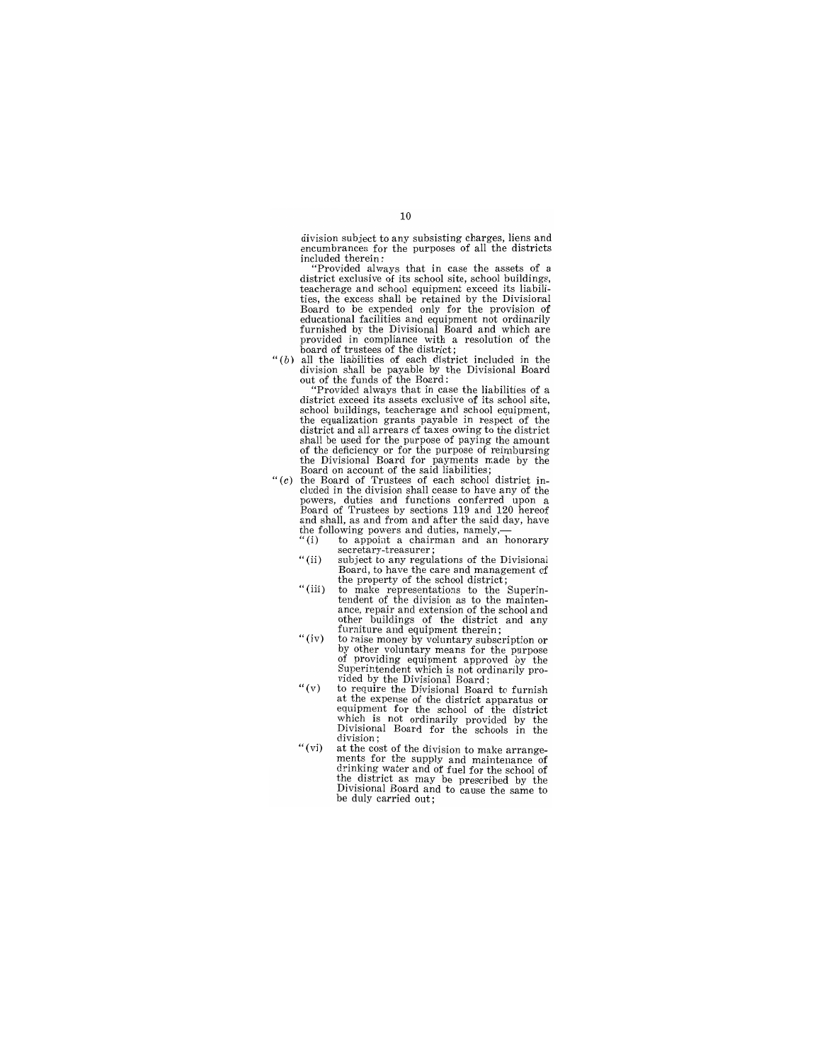division subject to any subsisting charges, liens and encumbrances for the purposes of all the districts included therein:<br>"Provided always that in case the assets of a

"Provided always that in case the assets of a district exclusive of its school site, school buildings, teacherage and school equipment exceed its liabilities, the excess shall be retained by the Divisional Board to be expe educational facilities and equipment not ordinarily furnished by the Divisional Board and which are provided in compliance with a resolution of the board of trustees of the district;

*"(b)*  all the liabilities of each district included in the division shall be payable by the Divisional Board out of the funds of the Board:

"Provided always that in case the liabilities of a district exceed its assets exclusive of its school site, school buildings, teacherage and school equipment, the equalization grants payable in respect of the district and all arrears of taxes owing to the district shall be used for the purpose of paying the amount of the deficiency or for the purpose of reimbursing the Divisional Board for payments made by the Board on account of the said liabilities;

- "(c) the Board of Trustees of each school district in-cluded in the division shall cease to have any of the powers, duties and functions conferred upon a Board of Trustees by sections 119 and 120 hereof powers, unues and functions connected upon<br>and and hall, as and from and after the said day, have the following powers and duties, namely,  $i(i)$  to appoint a chairman and an
	- to appoint a chairman and an honorary secretary-treasurer;
	- "(ii) subject to any regulations of the Divisional Board, to have the care and management of the property of the school district;
	- " (iii) to make representations to the Superin-tendent of the division as to the mainten-ance, repair and extension of the school and other buildings of the district and any furniture and equipment therein;<br>to raise money by voluntary subscription or
	- "(iv) to raise money by voluntary subscription or by other voluntary means for the purpose of providing equipment approved by the Superintendent which is not ordinarily provided by the Divisional Board;
	- "(v) to require the Divisional Board to furnish at the expense of the district apparatus or equipment for the school of the district which is not ordinarily provided by the Divisional Board for the schools in the division;
	- "(vi) at the cost of the division to make arrangements for the supply and maintenance of<br>drinking water and of fuel for the school of the district as may be prescribed by the Divisional Board and to cause the same to be duly carried out;

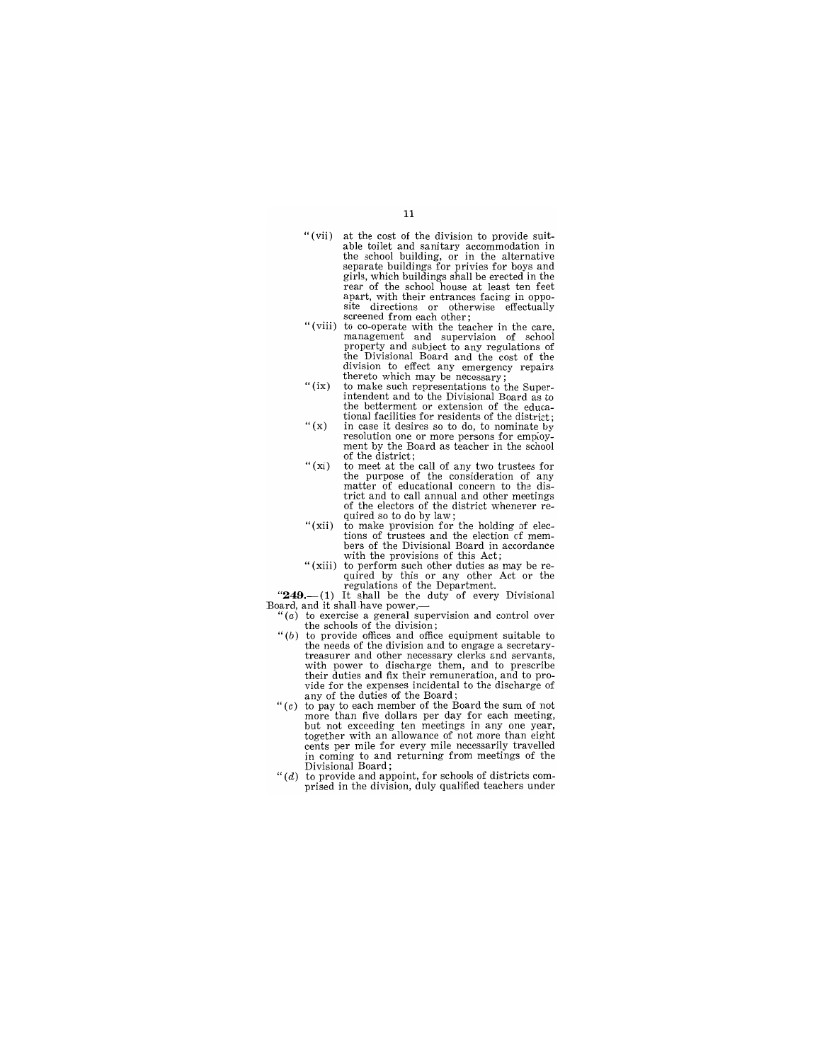- "(vii) at the cost of the division to provide suitthe toilet and sanitary accommodation in<br>the school building, or in the alternative<br>expansive buildings for privies for boys and girls, which buildings shall be erected in the rear of the school house at least ten feet apart, with their entrances facing in oppo-
- site directions or otherwise effectually<br>screened from each other;<br>(viii) to co-operate with the teacher in the care,<br>management and supervision of school<br>nanagement and supervision of school property and subject to any regulations of<br>the Divisional Board and the cost of the the Divisional Board and the cost of the<br>
division to effect any emergency repairs<br>
thereto which may be necessary;<br>
the make such representations to the Super-
- intendent and to the Divisional Board as to the betterment or extension of the educathe betterment or extension of the equelation<br>tional facilities for residents of the district;<br>(x) in case it desires so to do, to nominate by
- in case it desires so to do, to nominate by resolution one or more persons for employment by the Board as teacher in the school of the district;
- "(xi) to meet at the call of any two trustees for the purpose of the consideration of any matter of educational concern to the disratter of equestional concern to the district and to call annual and other meetings<br>of the electors of the district whenever re-<br>uired so to do by law;
- (xii) to make provision for the holding of elections of trustees and the election of mem-<br>tions of trustees and the election of mem-<br>bers of the Divisional Board in accordance bers of the Divisional Board in accordance<br>with the provisions of this Act;
- "(xiii) to perform such other duties as may be required by this or any other Act or the<br>regulations of the Department.<br>
"249.—(1) It shall be the duty of every Divisional<br>loard, and it shall have power,—

- $\mu$  (a) to exercise a general supervision and control over the schools of the division;
- the scotools of the division and to engage a secretary-<br>treasurer and other necessary clerks and servants,<br>treasurer and other necessary clerks and servants,<br>with power to discharge them, and to prescribe the measure and fix their remuneration, and to prescribe their duties and fix their remuneration, and to provide for the expenses incidental to the discharge of vide for the expenses incidental to the duscharge of<br> *(c)* to pay to each member of the Board the sum of not<br> *(c)* to pay then five dollars per day for each meeting
- more than five dollars per day for each meeting, but not exceeding ten meetings in any one year, together with an allowance of not more than eight bether with an allowance of not more than eight<br>ents per mile for every mile necessarily travelled<br>a coming to and returning from meetings of the in coming to and returning from meetings of the Divisional Board;
- *"(d)* to provide and appoint, for schools of districts com- prised in the division, duly qualified teachers under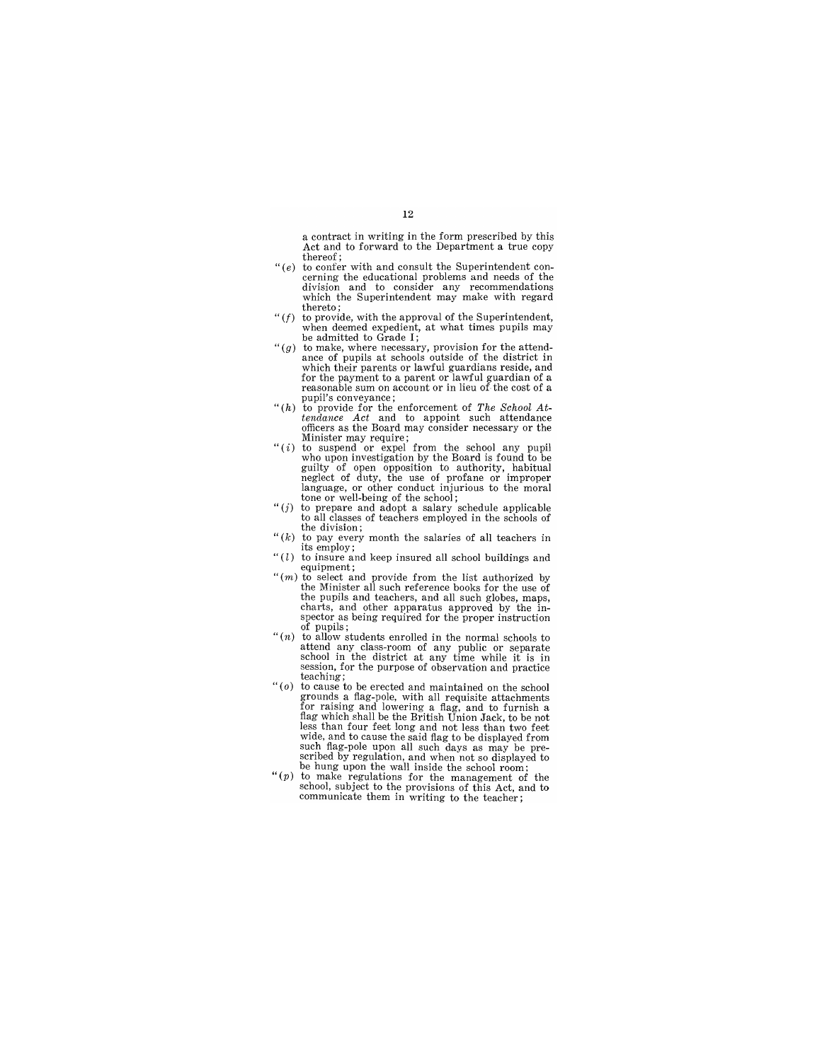a contract in writing in the form prescribed by this Act and to forward to the Department a true copy thereof;

- $"(\epsilon)$  to confer with and consult the Superintendent concerning the educational problems and needs of the<br>division and to consider any recommendations which the Superintendent may make with regard thereto;
- *"(f)* to provide, with the approval of the Superintendent, b provide, with the approval of the Superintendent,<br>chen deemed expedient, at what times pupils may<br>e admitted to Grade I;
- *"(g)* to make, where necessary, provision for the attend- ance of pupils at schools outside of the district in which their parents or lawful guardians reside, and for the payment to a parent or lawful guardian of a reasonable sum on account or in lieu of the cost of a *"(h)* to provide for the enforcement of *The School At-*
- o provide for the enforcement of *The School Attendance*<br>*midance Act and to appoint such attendance*<br>ficers as the Board may consider necessary or the
- omcers as the board may consider necessary or the<br>
Minister may require;<br>
(*i*) to suspend or expel from the school any pupil<br>
who upon investigation by the Board is found to be no upon investigation by the Board is found to be<br>uilty of open opposition to authority, habitual<br>exilect of duty, the use of profane or improper meghect of duty, the use or protane or improper<br>
tone or well-being of the school;<br>
to prepare and adopt a salary schedule applicable
- to prepare and adopt a salary schedule applicable<br>of all classes of teachers employed in the schools of<br>addivision;
- $(k)$  the division,<br>
its pay every month the salaries of all teachers in
- (*l*) to insure and keep insured all school buildings and  $\frac{1}{2}$  coupling to insure the coupling of the coupling of the coupling of the coupling of the coupling of the coupling of the coupling of the coupling of the co "( $m$ ) to select and provide from the list authorized by"
- the Minister all such reference books for the use of the pupils and teachers, and all such globes, maps, e pupils and teachers, and all such globes, maps,<br>harts, and other apparatus approved by the in-<br>pector as being required for the proper instruction<br>f pupils;
- $''(n)$  to allow students enrolled in the normal schools to o anow succesus enroued in the normal schools to<br>thend any class-room of any public or separate<br>chool in the district at any time while it is in<br>session, for the purpose of observation and practice<br>hing; teaching;<br>"(o) to cause to be erected and maintained on the school
- betwee to be erected and maintained on the school<br>founds a flag-pole, with all requisite attachments<br>or raising and lowering a flag, and to furnish a<br>system four feet long and not less than two feet ss than four feet long and not less than two feet<br>ride, and to cause the said flag to be displayed from scribed by regulation, and when not so displayed to<br>cribed by regulation, and when not so displayed to<br>a hung upon the wall inside the school poor;
- " $(p)$  to make regulations for the management of the o make regulations for the management or the<br>chool, subject to the provisions of this Act, and to<br>numunicate them in writing to the teacher;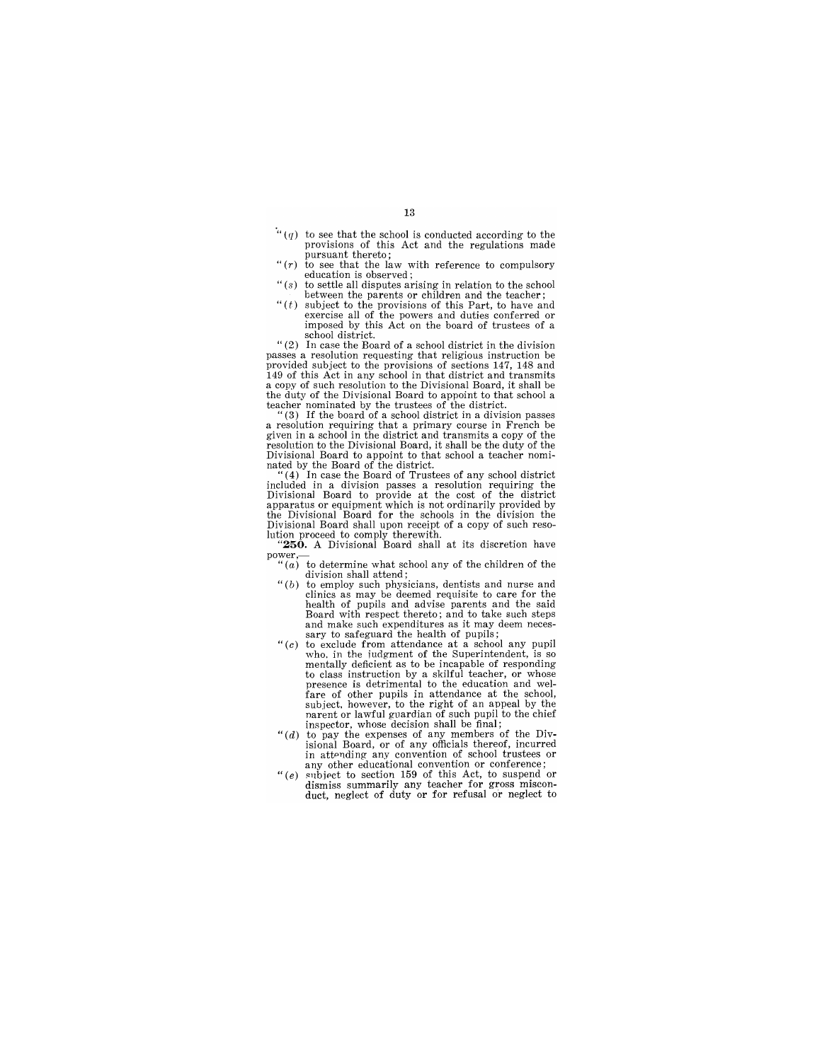- $\ddot{ }$ " (q) to see that the school is conducted according to the provisions of this Act and the regulations made pursuant thereto;
- " $(r)$  to see that the law with reference to compulsory
- education is observed;<br>
(s) to settle all disputes arising in relation to the school<br>
between the parents or children and the teacher;
- petween the parents or children and the teacher;<br>(t) subject to the provisions of this Part, to have and exercise all of the powers and duties conferred or<br>exercise all of the powers and duties conferred or<br>mposed by this Act on the board of trustees of a<br>chool district.

"(2) In case the Board of a school district in the division passes a resolution requesting that religious instruction be provided subject to the provisions of sections 147, 148 and 149 of this Act in any school in that district and transmits a copy of such resolution to the Divisional Board, it shall be the duty of the Divisional Board to appoint to that school a teacher nominated by the trustees of the district.<br>"(3) If the board of a school district in a division passes

given in a school in the district and transmits a copy of the given in a school in the district and transmits a copy of the resolution to the Divisional Board, it shall be the duty of the Divisional Board to appoint to that school a teacher nomi-nated by the Board of the district.

(4) In case the Board of Trustees of any school district included in a division passes a resolution requiring the Divisional Board to provide at the cost of the district Tristandal Dard to provide at the cost of the usince<br>the Divisional Board for the schools in the division the<br>divisional Board for the schools in the division the<br>divisional Board shall upon receipt of a copy of such reso-

**200.** A Divisional Board shall at its discretion have<br> $0Wer,$ <br>"(a) to determine what school any of the children of the

- division shall attend;
- $(6)$  to employ such physicians, dentists and nurse and o employ such physicialis, dentists and hurse and<br>linics as may be deemed requisite to care for the<br>lealth of pupils and advise parents and the said exact with respect thereto; and to take such steps<br>nd make such steps as it may deem neces-<br>and make such expenditures as it may deem neces-<br>ary to safeguard the health of pupils;
- *"(c)* to exclude from attendance at a school any pupil o exclue rion atenuation at a school any pupil<br>who, in the judgment of the Superintendent, is so<br>class instruction by a skilful teacher, or whose<br>presence is detrimental to the education and welresence is detrimental to the education and wel-<br>are of other pupils in attendance at the school,<br>ubject, however, to the right of an appeal by the<br>narent or lawful guardian of such pupil to the chief
- inspector, whose decision shall be final;<br>  $(d)$  to pay the expenses of any members of the Div-<br>
isional Board, or of any officials thereof, incurred<br>
in attanding any convention of school trustees or any other educational convention or conference;
- $" (e)$  subject to section 159 of this Act, to suspend or duct, neglect of duty or for refusal or neglect to duct, neglect of duty or for refusal or neglect to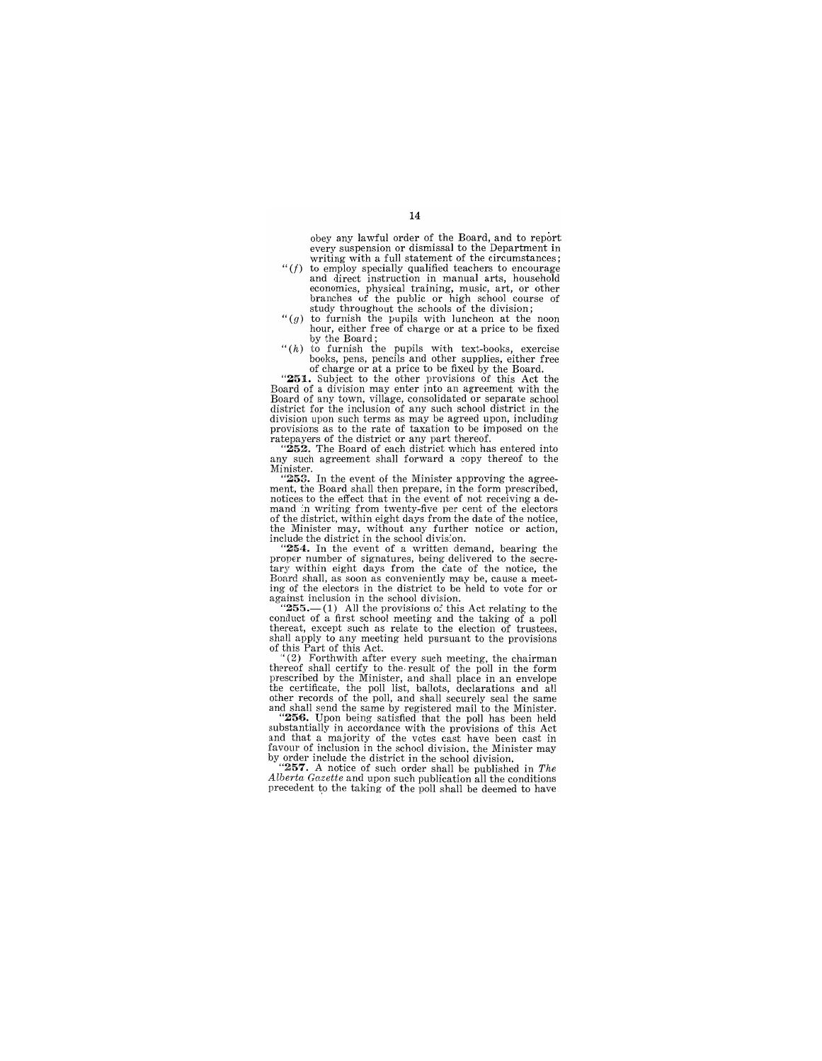obey any lawful order of the Board, and to report every suspension or dismissal to the Department in writing with a full statement of the circumstances;

- *"(f)* to employ specially qualified teachers to encourage and direct instruction in manual arts, household economics, physical training, music, art, or other branches of the public or high school course of study throughout the schools of the division;
- *"(g)* to furnish the pupils with luncheon at the noon hour, either free of charge or at a price to be fixed by the Board;
- $(n)$  to furnish the pupils with text-books, exercise books, pens, pencils and other supplies, either free of charge or at a price to be fixed by the Board.

"251. Subject to the other provisions of this Act the Board of a division may enter into an agreement with the Board of any town, village, consolidated or separate school<br>district for the inclusion of any such school district in the<br>division upon such terms as may be agreed upon, including<br>provisions as to the rate of taxation to b ratepayers of the district or any part thereof.

"252. The Board of each district which has entered into any such agreement shall forward a copy thereof to the Minister. "253. In the event of the Minister approving the agree-

ment, the Board shall then prepare, in the form prescribed, notices to the effect that in the event of not receiving a demand in writing from twenty-five per cent of the electors of the district, within eight days from the date of the notice, the Minister may, without any further notice or action, include the district in the school division.

"254. In the event of a written demand, bearing the proper number of signatures, being delivered to the secretary within eight days from the date of the notice, the Board shall, as soon as conveniently may be, cause a meet-ing of the electors in the district to be held to vote for or against inclusion in the school division. against inclusion in the school division.<br>" $255$ .—(1) All the provisions of this Act relating to the

conduct of a first school meeting and the taking of a poll thereat, except such as relate to the election of trustees, shall apply to any meeting held pursuant to the provisions of this Part of this Act.

"(2) Forthwith after every such meeting, the chairman thereof shall certify to the· result of the poll in the form prescribed by the Minister, and shall place in an envelope the certificate, the poll list, ballots, declarations and all other records of the poll, and shall securely seal the same other records of the poll, and shall securely seal the same and shall send the same by registered mail to the Minister. "256. Upon being satisfied that the poll has been held

substantially in accordance with the provisions of this Act and that a majority of the votes cast have been cast in favour of inclusion in the school division, the Minister may by order include the district in the school division. "257. A notice of such order shall be published in *The* 

*Alberta Gazette* and upon such publication all the conditions precedent to the taking of the poll shall be deemed to have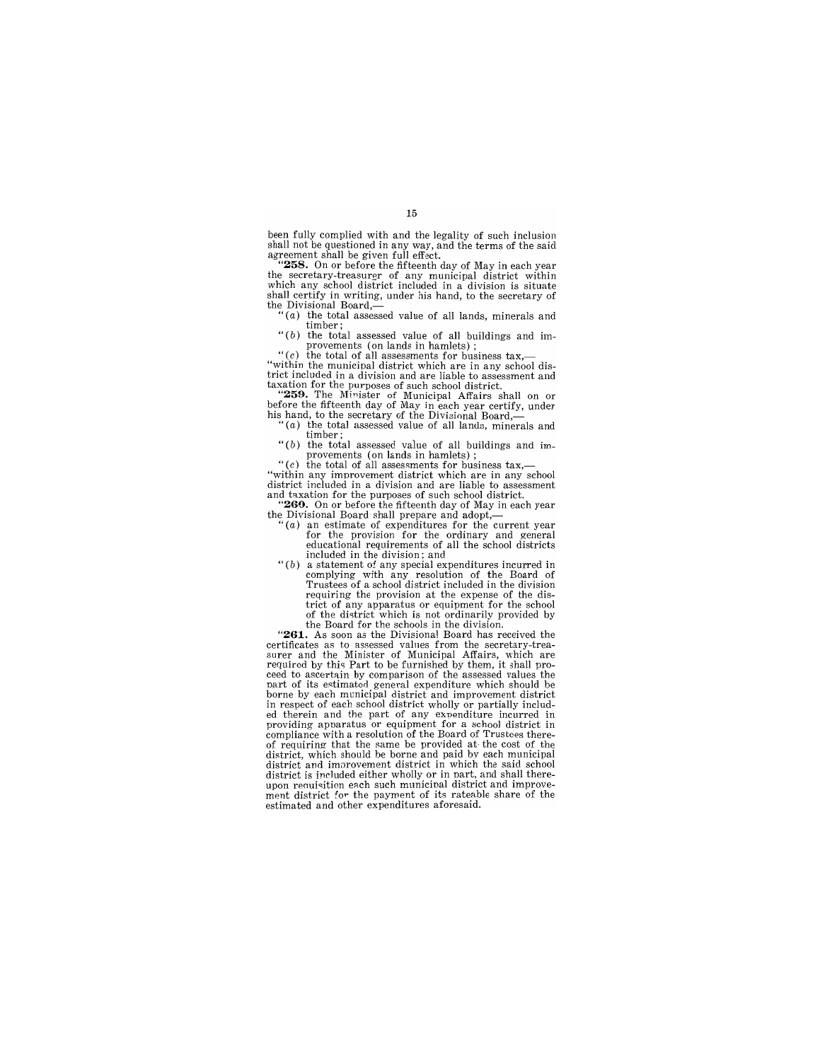been fully complied with and the legality of such inclusion shall not be questioned in any way, and the terms of the said agreement shall be given full effect.

"258. On or before the fifteenth day of May in each year the secretary-treasurer of any municipal district within which any school district included in a division is situate shall certify in writing, under his hand, to the secretary of the Divisional Board,—<br>
"(a) the total assessed value of all lands, minerals and

timber;

" $(b)$  the total assessed value of all buildings and improvements (on lands in hamlets) ;

" (c) the total of all assessments for business tax,—<br>"within the municipal district which are in any school district included in a division and are liable to assessment and

taxation for the purposes of such school district.<br>
"259. The Minister of Municipal Affairs shall on or<br>
before the fifteenth day of May in each year certify, under<br>
his hand, to the secretary of the Divisional Board,—<br>
"

timber;

" $(b)$  the total assessed value of all buildings and improvements (on lands in hamlets) ;

" $(c)$  the total of all assessments for business tax,-

"within any improvement district which are in any school district included in a division and are liable to assessment and taxation for the purposes of such school district.

"260. On or before the fifteenth day of May in each year the Divisional Board shall prepare and adopt,-

- "(a) an estimate of expenditures for the current year for the provision for the ordinary and general educational requirements of all the school districts included in the division; and
- *"(b)* a statement of any special expenditures incurred in complying with any resolution of the Board of Trustees of a school district included in the division requiring the provision at the expense of the district of any apparatus or equipment for the school of the district which is not ordinarily provided by the Board for the schools in the division.<br>"261. As soon as the Divisional Board has received the

certificates as to assessed values from the secretary-trea-<br>surer and the Minister of Municipal Affairs, which are<br>required by this Part to be furnished by them, it shall proceed to ascertain by comparison of the assessed values the part of its estimated general expenditure which should be borne by each municipal district and improvement district in respect of each school district wholly or partially included therein and the part of any expenditure incurred in providing apparatus or equipment for a school district in compliance with a resolution of the Board of Trustees thereof requiring that the same be provided at the cost of the district, which should be borne and paid by each municipal district and imnrovement district in which the said school district is included either wholly or in part, and shall thereupon requisition each such municipal district and improvement district for the payment of its rateable share of the estimated and other expenditures aforesaid.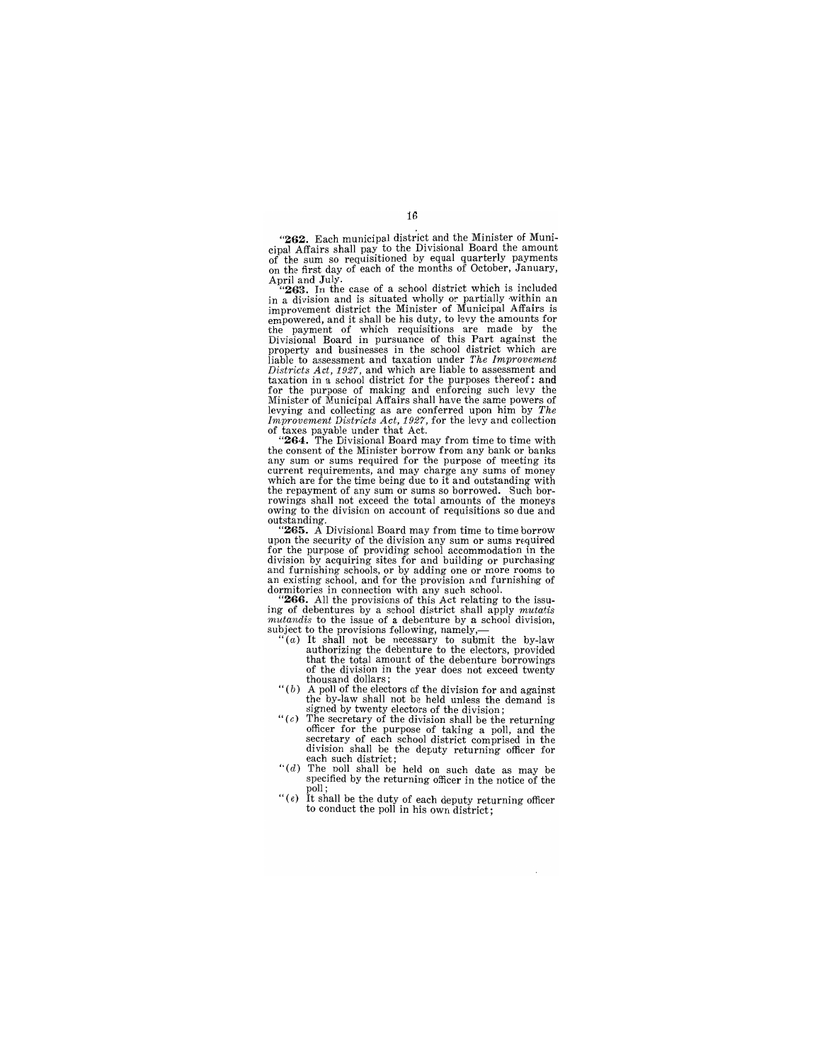"262. Each municipal district and the Minister of Municipal Affairs shall pay to the Divisional Board the amount of the sum so requisitioned by equal quarterly payments on the first day of each of the months of October, January, April and July.

"263. In the case of a school district which is included in a division and is situated wholly or partially within an improvement district the Minister of Municipal Affairs is empowered, and it shall be his duty, to levy the amounts for the payment of which requisitions are made by the Divisional Board in pursuance of this Part against the property and businesses in the school district which are liable to assessment and taxation under *The Improvement Districts Act,* 1927, and which are liable to assessment and taxation in a school district for the purposes thereof: and for the purpose of making and enforcing such levy the Minister of Municipal Affairs shall have the same powers of levying and collecting as are conferred upon him by *The Improvement Districts Act,* 1927, for the levy and collection

of taxes payable under that Act.<br>
"264. The Divisional Board may from time to time with<br>
the consent of the Minister borrow from any bank or banks any sum or sums required for the purpose of meeting its current requirements, and may charge any sums of money which are for the time being due to it and outstanding with the repayment of any sum or sums so borrowed. Such bor-rowings shall not exceed the total amounts of the moneys owing to the division on account of requisitions so due and outstanding.

"265. A Divisional Board may from time to time borrow upon the security of the division any sum or sums required for the purpose of providing school accommodation in the division by acquiring sites for and building or purchasing and furnishing schools, or by adding one or more rooms to an existing schools, and for the provision and furnishing of dormitories in connection with any such school.

266. All the provisions of this Act relating to the issuing of debentures by a school district shall apply *mutatis mutandis* to the issue of a debenture by a school division, subject to the provisions following, namely,-

- $f(a)$  It shall not be necessary to submit the by-law authorizing the debenture to the electors, provided that the total amount of the debenture borrowings of the division in the year does not exceed twenty thousand dollars;
- $"(b)$  A poll of the electors of the division for and against the by-law shall not be held unless the demand is
- signed by twenty electors of the division;<br>
"(c) The secretary of the division shall be the returning<br>
officer for the purpose of taking a poll, and the<br>
secretary of each school district comprised in the division shall be the deputy returning officer for
- each such district;<br>
"(d) The poll shall be held on such date as may be specified by the returning officer in the notice of the poll;
- $\mathcal{L}(e)$  it shall be the duty of each deputy returning officer to conduct the poll in his own district:

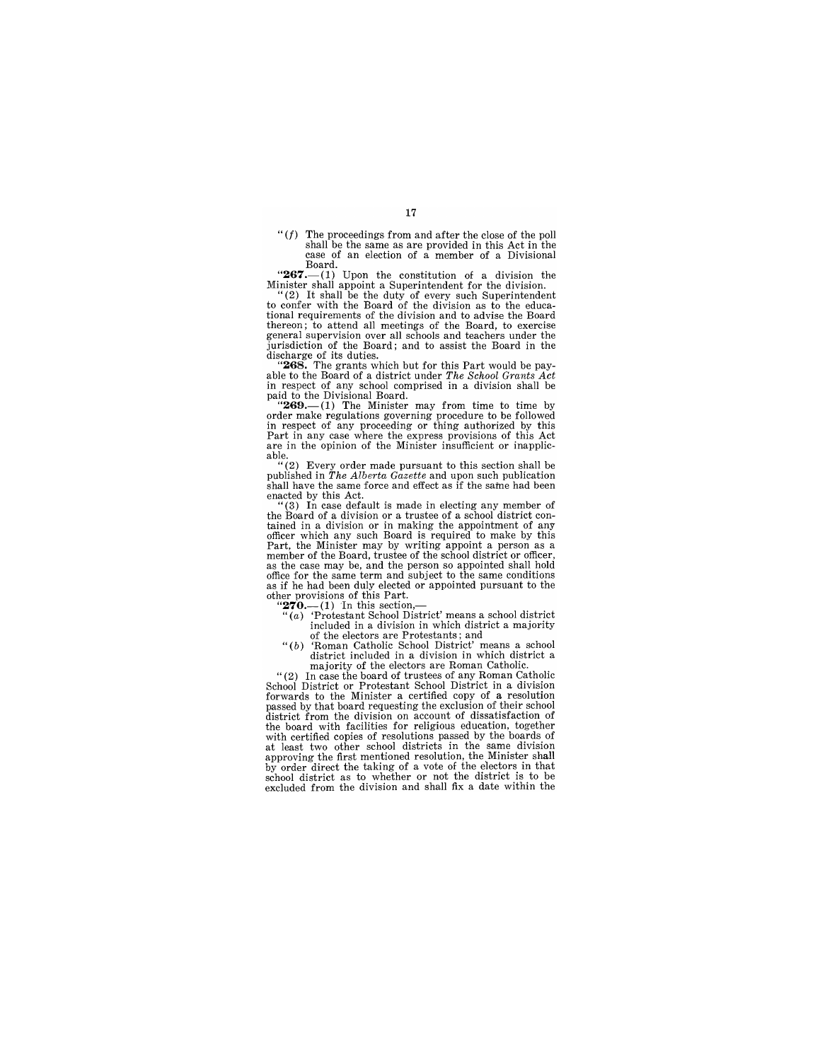" $(f)$  The proceedings from and after the close of the poll shall be the same as are provided in this Act in the shall be the same as are provided in this Act in the case of an election of a member of a Divisional Board.

**"267.**—(1) Upon the constitution of a division the Minister shall appoint a Superintendent for the division.<br>"(2) It shall be the duty of every such Superintendent<br>to confer with the Board of the division as to the educa thereon; to attend all meetings of the Board, to exercise general supervision over all schools and teachers under the jurisdiction of the Board; and to assist the Board in the discharge of its duties. "268. The grants which but for this Part would be pay-

able to the Board of a district under *The School Grants Act*  in respect of any school comprised in a division shall be paid to the Divisional Board.

**Particular CONSTRAINERT PROPERTY** and the Divisional Dorder make regulations governing procedure to be followed<br>in respect of any proceeding or thing authorized by this<br>Part in any case where the express provisions of thi

able. "(2) Every order made pursuant to this section shall be published in *The Alberta Gazette* and upon such publication shall have the same force and effect as if the same had been enacted by this Act.

 $(3)$  In case default is made in electing any member of the Board of a division or a trustee of a school district contained in a division or in making the appointment of any officer which any such Board is required to make by this Part, the Minister may by writing appoint a per as the case may be, and the person so appointed shall hold office for the same term and subject to the same conditions as if he had been duly elected or appointed pursuant to the other provisions of this Part.

- $"270...$  (1) In this section,—<br>" $270...$  (1) In this section,—<br>"(a) 'Protestant School District' means a school district" included in a division in which district a majority
- of the electors are Protestants; and " (b) 'Roman Catholic School District' means a school district included in a division in which district a majority of the electors are Roman Catholic. majority of the electors are Roman Catholic.<br>
"(2) In case the board of trustees of any Roman Catholic

School District or Protestant School District in a division forwards to the Minister a certified copy of a resolution passed by that board requesting the exclusion of their school district from the division on account of dissatisfaction of the board with facilities for religious education, together with certified copies of resolutions passed by the boards of at least two other school districts in the same division approving the first mentioned resolution, the Minister shall<br>by order direct the taking of a vote of the electors in that<br>school district as to whether or not the district is to be<br>excluded from the division and shall fix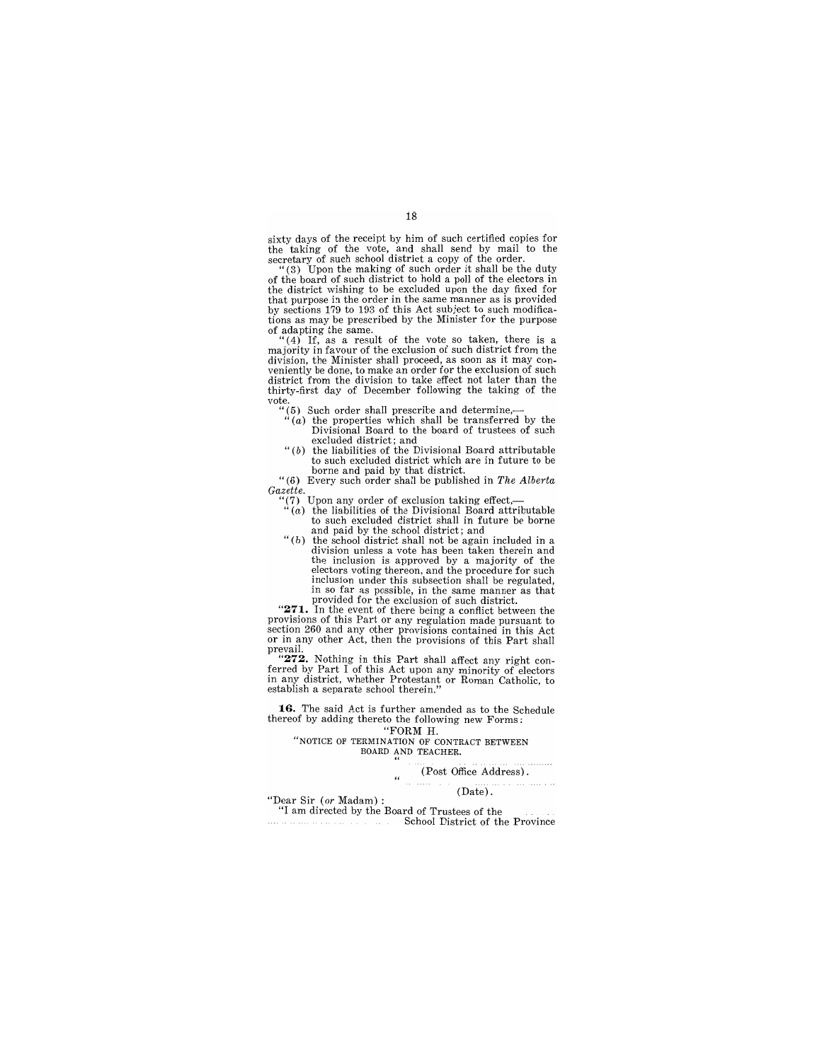sixty days of the receipt by him of such certified copies for the taking of the vote, and shall send by mall to the secretary of such school district a copy of the order.

 $(3)$  Upon the making of such order it shall be the duty of the board of such district to hold a poll of the electors in the district wishing to be excluded upon the day fixed for that purpose in the order in the same manner as is provided by sections 179 to 193 of this Act subject to such modifications as may be prescribed by the Minister for the purpose

 $(4)$  If, as a result of the vote so taken, there is a majority in favour of the exclusion of such district from the division, the Minister shall proceed, as soon as it may condivision, the Minister shall proceed, as soon as it may conveniently be done, to make an order for the exclusion of such district from the division to take effect not later than the thirty-first day of December following the taking of the vote.

- $\cdot$  (5) Such order shall prescribe and determine,—<br>  $\cdot$  (a) the properties which shall be transferred by the<br>
Divisional Board to the board of trustees of such<br>
excluded district; and<br>  $\cdot$  (b) the liabilities of the Di
- to such excluded district which are in future to be borne and paid by that district.
- "(6) Every such order shall be published in *The Alberta Gazette.* 
	-
	- "(7) Upon any order of exclusion taking effect,—<br>"(a) the liabilities of the Divisional Board attributable the liabilities of the Divisional Board attributable<br>to such excluded district shall in future be borne
	- and paid by the school district; and<br>
	"(b) the school district shall not be again included in a<br>
	division unless a vote has been taken therein and<br>
	the inclusion is approved by a majority of the<br>
	electors voting thereon, a inclusion under this subsection shall be regulated, in so far as possible, in the same manner as that provided for the exclusion of such district.

**"271.** In the event of there being a conflict between the provisions of this Part or any regulation made pursuant to section 260 and any other provisions contained in this Act or in any other Act, then the provisions of this Part shall prevail. "272. Nothing in this Part shall affect any right con-

**"272.** Nothing in this Part shall affect any right conferred by Part I of this Act upon any minority of electors in any district, whether Protestant or Roman Catholic, to establish a separate school therein."

**16.** The said Act is further amended as to the Schedule thereof by adding thereto the following new Forms:<br>"FORM H.

"NOTICE OF TERMINATION OF CONTRACT BETWEEN BOARD AND TEACHER. "

(Post Office Address).

"Dear Sir (or Madam) : (Date) .

"I am directed by the Board of Trustees of the School District of the Province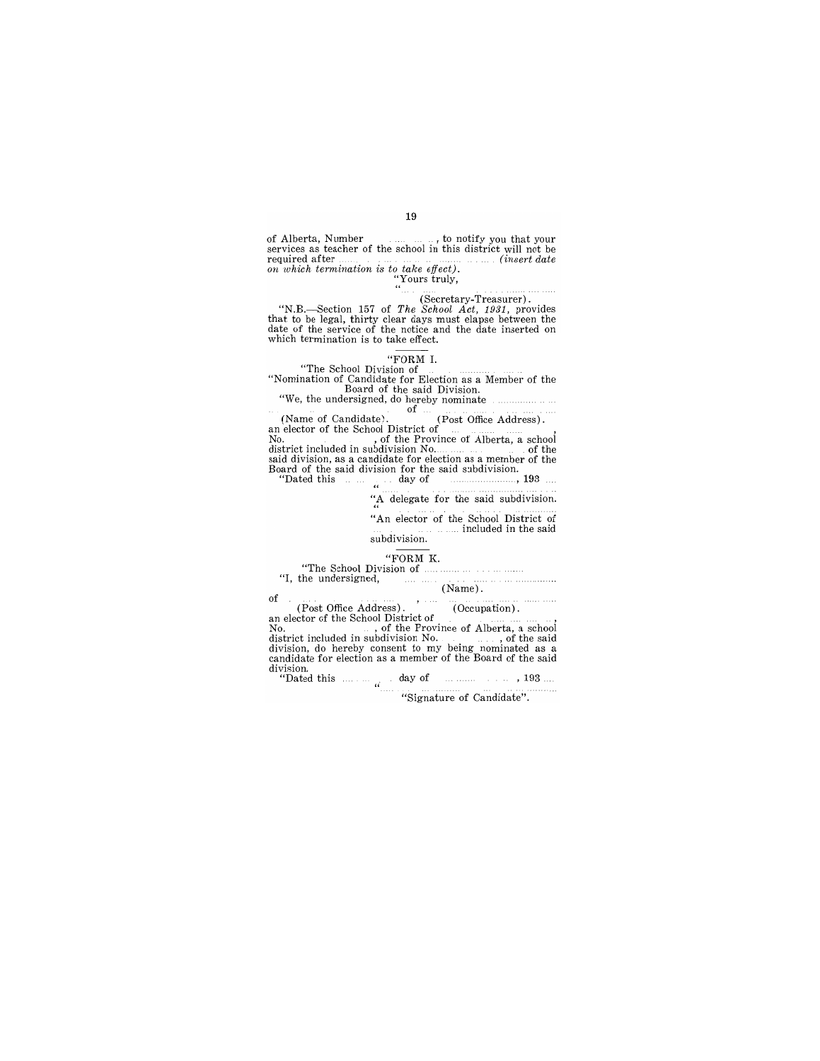of Alberta, Number ...................., to notify you that your<br>services as teacher of the school in this district will not be required after *insert date*<br>*on which termination is to take effect*). *(insert date*<br>"Yours truly,

(Secretary-Treasurer).<br>
"N.B.—Section 157 of *The School Act, 1931*, provides<br>
that to be legal, thirty clear days must elapse between the<br>
date of the service of the notice and the date inserted on<br>
which termination is

## "FORM I. "The School Division of

"Nomination of Candidate for Election as a Member of the Board of the said Division.

"We, the undersigned, do hereby nominate

of (Name of Candidate). (Post Office Address). an elector of the School District of , No. , of the Province of Alberta, a school district included in subdivision No. of the said division, as a candidate for election as a member of the Board of the said division for the said subdivision. "Dated this day of ............... , 193

"A delegate for the said subdivision.

"An elector of the School District of .... included in the said subdivision.

"FORM K.

"The School Division of . "I, the undersigned,

(Name).

of

(Post Office Address). (Occupation).<br>
an elector of the School District of<br>
No. . . . . of the Province of Alberta, a school<br>
district included in subdivision, to hereby consent to my being nominated as a<br>
division, do he division.<br>
"Dated this  $\dots \dots$ , day of  $\dots \dots \dots$ , 193...

"Signature of Candidate".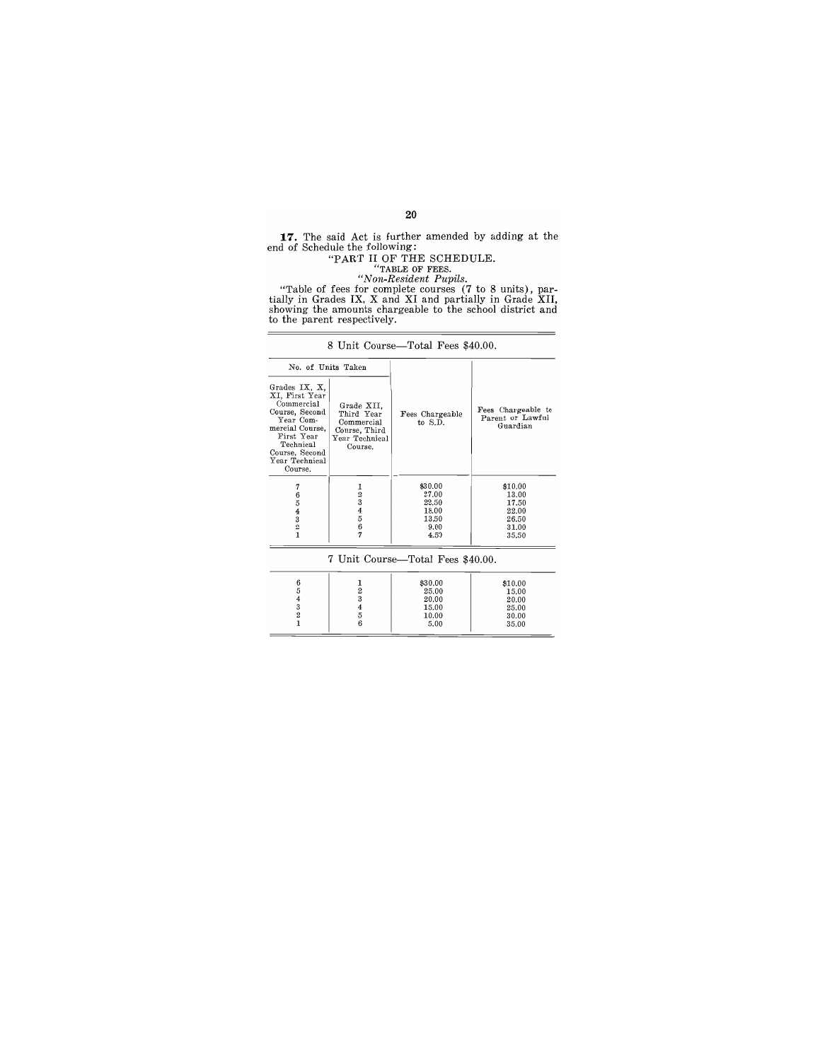**17.** The said Act is further amended by adding at the end of Schedule the following:

"PART II OF THE SCHEDULE. "TABLE OF FEES.

"Table of fees for complete courses  $(7 \text{ to } 8 \text{ units})$ , partially in Grades IX, X and XI and partially in Grade XII, showing the amounts chargeable to the school district and to the parent respectively.

|                                                                                                                                                                           |                                                                                      | o Unit Course—rotal rees 540.00.  |                                                    |
|---------------------------------------------------------------------------------------------------------------------------------------------------------------------------|--------------------------------------------------------------------------------------|-----------------------------------|----------------------------------------------------|
| No. of Units Taken                                                                                                                                                        |                                                                                      |                                   |                                                    |
| Grades IX, X,<br>XI, First Year<br>Commercial<br>Course, Second<br>Year Com-<br>mercial Course.<br>First Year<br>Technical<br>Course, Second<br>Year Technical<br>Course. | Grade XII.<br>Third Year<br>Commercial<br>Course, Third<br>Year Technical<br>Course. | Fees Chargeable<br>to S.D.        | Fees Chargeable to<br>Parent or Lawful<br>Guardian |
| 7                                                                                                                                                                         |                                                                                      | \$30.00                           | \$10.00                                            |
| 6                                                                                                                                                                         | $\frac{1}{2}$ $\frac{3}{4}$                                                          | 27.00                             | 13.00                                              |
| 5                                                                                                                                                                         |                                                                                      | 22.50                             | 17.50                                              |
|                                                                                                                                                                           |                                                                                      | 18.00                             | 22.00                                              |
| $\frac{4}{3}$<br>$\frac{3}{2}$ 1                                                                                                                                          |                                                                                      | 13.50                             | 26.50                                              |
|                                                                                                                                                                           | $\begin{array}{c} 5 \\ 6 \\ 7 \end{array}$                                           | 9.00                              | 31.00                                              |
|                                                                                                                                                                           |                                                                                      | 4.50                              | 35.50                                              |
|                                                                                                                                                                           |                                                                                      | 7 Unit Course—Total Fees \$40.00. |                                                    |
| 6                                                                                                                                                                         |                                                                                      | \$30.00                           | \$10.00                                            |
| 5                                                                                                                                                                         | $\frac{1}{2}$ $\frac{3}{4}$ $\frac{4}{5}$                                            | 25.00                             | 15.00                                              |
|                                                                                                                                                                           |                                                                                      | 20,00                             | 20.00                                              |
| 4321                                                                                                                                                                      |                                                                                      | 15.00                             | 25.00                                              |
|                                                                                                                                                                           |                                                                                      | 10.00                             | 30.00                                              |
|                                                                                                                                                                           | $\overline{6}$                                                                       | 5.00                              | 35.00                                              |

8 Unit Course—Total Fees \$40.00.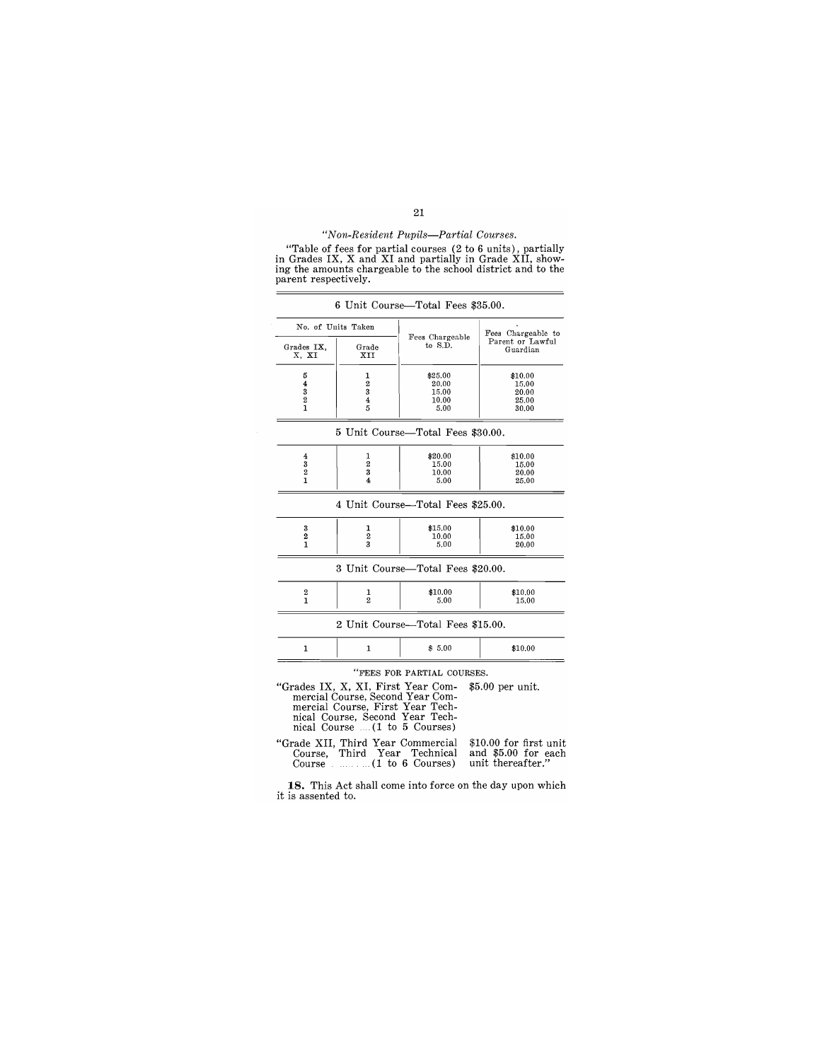### *"Non-Resident Pupils-Partial Courses.*

"Table of fees for partial courses (2 to 6 units), partially in Grades IX, X and XI and partially in Grade XII, show-ing the amounts chargeable to the school district and to the parent respectively.

 $\overline{\phantom{a}}$ 

 $\equiv$ 

| 6 Unit Course-Total Fees \$35.00.                                                                                                                                                                                                                                                                                                                                                                                |                                                        |                                            |                                                    |  |  |
|------------------------------------------------------------------------------------------------------------------------------------------------------------------------------------------------------------------------------------------------------------------------------------------------------------------------------------------------------------------------------------------------------------------|--------------------------------------------------------|--------------------------------------------|----------------------------------------------------|--|--|
| No. of Units Taken<br>Grades IX,<br>X, XI                                                                                                                                                                                                                                                                                                                                                                        | Grade<br>XII                                           | Fees Chargeable<br>to S.D.                 | Fees Chargeable to<br>Parent or Lawful<br>Guardian |  |  |
| 5<br>4<br>3<br>$\overline{2}$<br>$\mathbf{1}$                                                                                                                                                                                                                                                                                                                                                                    | ı<br>$\mathbf{2}$<br>3<br>$\overline{\mathbf{4}}$<br>5 | \$25.00<br>20.00<br>15.00<br>10.00<br>5.00 | \$10.00<br>15,00<br>20.00<br>25.00<br>30.00        |  |  |
| 5 Unit Course—Total Fees \$30.00.                                                                                                                                                                                                                                                                                                                                                                                |                                                        |                                            |                                                    |  |  |
| 4<br>3<br>$\overline{2}$<br>$\mathbf{1}$                                                                                                                                                                                                                                                                                                                                                                         | 1<br>2<br>3<br>4                                       | \$20.00<br>15.00<br>10.00<br>5.00          | \$10.00<br>15.00<br>20,00<br>25.00                 |  |  |
| 4 Unit Course—Total Fees \$25.00.                                                                                                                                                                                                                                                                                                                                                                                |                                                        |                                            |                                                    |  |  |
| 3<br>$\overline{\mathbf{2}}$<br>$\mathbf{1}$                                                                                                                                                                                                                                                                                                                                                                     | 1<br>$\overline{2}$<br>3                               | \$15.00<br>10.00<br>5.00                   | \$10.00<br>15.00<br>20.00                          |  |  |
| 3 Unit Course-Total Fees \$20.00.                                                                                                                                                                                                                                                                                                                                                                                |                                                        |                                            |                                                    |  |  |
| 2<br>$\mathbf{1}$                                                                                                                                                                                                                                                                                                                                                                                                | 1<br>$\overline{2}$                                    | \$10.00<br>5.00                            | \$10.00<br>15.00                                   |  |  |
| 2 Unit Course-Total Fees \$15.00.                                                                                                                                                                                                                                                                                                                                                                                |                                                        |                                            |                                                    |  |  |
| 1                                                                                                                                                                                                                                                                                                                                                                                                                | 1                                                      | \$5.00                                     | \$10.00                                            |  |  |
| "FEES FOR PARTIAL COURSES.<br>"Grades IX, X, XI, First Year Com-<br>\$5.00 per unit.<br>mercial Course, Second Year Com-<br>mercial Course, First Year Tech-<br>nical Course, Second Year Tech-<br>nical Course  (1 to 5 Courses)<br>"Grade XII, Third Year Commercial<br>Course, Third Year Technical<br>\$10.00 for first unit<br>and \$5.00 for each<br>Course $\ldots$ (1 to 6 Courses)<br>unit thereafter." |                                                        |                                            |                                                    |  |  |

**18.** This Act shall come into force on the day upon which it is assented to.

21